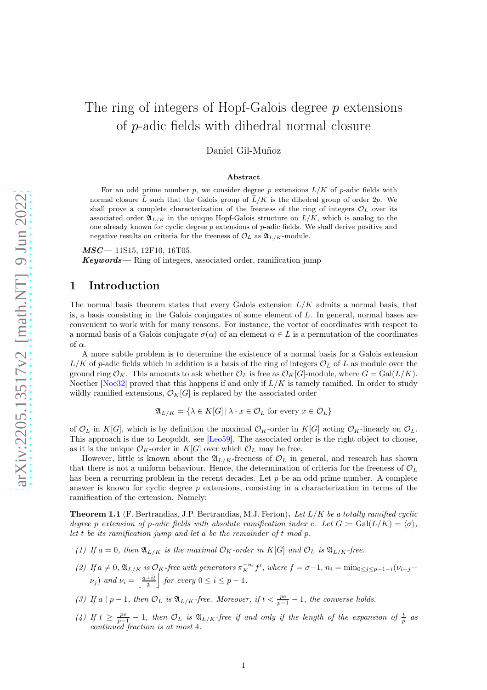# The ring of integers of Hopf-Galois degree p extensions of p-adic fields with dihedral normal closure

Daniel Gil-Muñoz

#### Abstract

For an odd prime number p, we consider degree p extensions  $L/K$  of p-adic fields with normal closure  $\tilde{L}$  such that the Galois group of  $\tilde{L}/K$  is the dihedral group of order 2p. We shall prove a complete characterization of the freeness of the ring of integers  $\mathcal{O}_L$  over its associated order  $\mathfrak{A}_{L/K}$  in the unique Hopf-Galois structure on  $L/K$ , which is analog to the one already known for cyclic degree  $p$  extensions of  $p$ -adic fields. We shall derive positive and negative results on criteria for the freeness of  $\mathcal{O}_L$  as  $\mathfrak{A}_{L/K}$ -module.

 $MSC-11S15, 12F10, 16T05.$ 

 $Keywords$ — Ring of integers, associated order, ramification jump

## 1 Introduction

The normal basis theorem states that every Galois extension  $L/K$  admits a normal basis, that is, a basis consisting in the Galois conjugates of some element of L. In general, normal bases are convenient to work with for many reasons. For instance, the vector of coordinates with respect to a normal basis of a Galois conjugate  $\sigma(\alpha)$  of an element  $\alpha \in L$  is a permutation of the coordinates of  $\alpha$ .

A more subtle problem is to determine the existence of a normal basis for a Galois extension  $L/K$  of p-adic fields which in addition is a basis of the ring of integers  $\mathcal{O}_L$  of L as module over the ground ring  $\mathcal{O}_K$ . This amounts to ask whether  $\mathcal{O}_L$  is free as  $\mathcal{O}_K[G]$ -module, where  $G = \text{Gal}(L/K)$ . Noether [Noe32] proved that this happens if and only if  $L/K$  is tamely ramified. In order to study wildly ramified extensions,  $\mathcal{O}_K[G]$  is replaced by the associated order

$$
\mathfrak{A}_{L/K} = \{ \lambda \in K[G] \, | \, \lambda \cdot x \in \mathcal{O}_L \text{ for every } x \in \mathcal{O}_L \}
$$

of  $\mathcal{O}_L$  in K[G], which is by definition the maximal  $\mathcal{O}_K$ -order in K[G] acting  $\mathcal{O}_K$ -linearly on  $\mathcal{O}_L$ . This approach is due to Leopoldt, see [Leo59]. The associated order is the right object to choose, as it is the unique  $\mathcal{O}_K$ -order in  $K[G]$  over which  $\mathcal{O}_L$  may be free.

However, little is known about the  $\mathfrak{A}_{L/K}$ -freeness of  $\mathcal{O}_L$  in general, and research has shown that there is not a uniform behaviour. Hence, the determination of criteria for the freeness of  $\mathcal{O}_L$ has been a recurring problem in the recent decades. Let  $p$  be an odd prime number. A complete answer is known for cyclic degree  $p$  extensions, consisting in a characterization in terms of the ramification of the extension. Namely:

<span id="page-0-0"></span>**Theorem 1.1** (F. Bertrandias, J.P. Bertrandias, M.J. Ferton). Let  $L/K$  be a totally ramified cyclic degree p extension of p-adic fields with absolute ramification index e. Let  $G := \text{Gal}(L/K) = \langle \sigma \rangle$ , let t be its ramification jump and let  $a$  be the remainder of  $t \mod p$ .

- (1) If  $a = 0$ , then  $\mathfrak{A}_{L/K}$  is the maximal  $\mathcal{O}_K$ -order in  $K[G]$  and  $\mathcal{O}_L$  is  $\mathfrak{A}_{L/K}$ -free.
- (2) If  $a \neq 0$ ,  $\mathfrak{A}_{L/K}$  is  $\mathcal{O}_K$ -free with generators  $\pi_K^{-n_i} f^i$ , where  $f = \sigma 1$ ,  $n_i = \min_{0 \leq j \leq p-1-i} (\nu_{i+j} \nu_{i+j})$  $(\nu_j)$  and  $\nu_i = \left| \frac{a+it}{p} \right|$ for every  $0 \leq i \leq p-1$ .
- (3) If a  $|p-1|$ , then  $\mathcal{O}_L$  is  $\mathfrak{A}_{L/K}$ -free. Moreover, if  $t < \frac{pe}{p-1} 1$ , the converse holds.
- (4) If  $t \geq \frac{pe}{p-1} 1$ , then  $\mathcal{O}_L$  is  $\mathfrak{A}_{L/K}$ -free if and only if the length of the expansion of  $\frac{t}{p}$  as continued fraction is at most 4.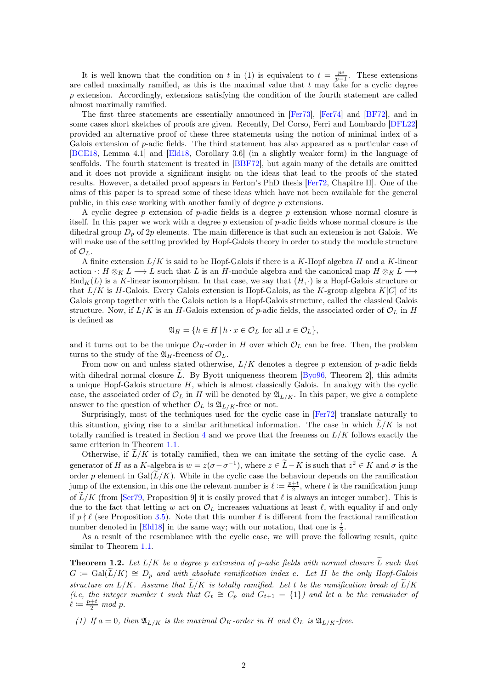It is well known that the condition on t in (1) is equivalent to  $t = \frac{pe}{p-1}$ . These extensions are called maximally ramified, as this is the maximal value that  $t$  may take for a cyclic degree  $p$  extension. Accordingly, extensions satisfying the condition of the fourth statement are called almost maximally ramified.

The first three statements are essentially announced in [Fer73], [Fer74] and [BF72], and in some cases short sketches of proofs are given. Recently, Del Corso, Ferri and Lombardo [DFL22] provided an alternative proof of these three statements using the notion of minimal index of a Galois extension of p-adic fields. The third statement has also appeared as a particular case of [BCE18, Lemma 4.1] and [Eld18, Corollary 3.6] (in a slightly weaker form) in the language of scaffolds. The fourth statement is treated in [BBF72], but again many of the details are omitted and it does not provide a significant insight on the ideas that lead to the proofs of the stated results. However, a detailed proof appears in Ferton's PhD thesis [Fer72, Chapitre II]. One of the aims of this paper is to spread some of these ideas which have not been available for the general public, in this case working with another family of degree p extensions.

A cyclic degree p extension of p-adic fields is a degree p extension whose normal closure is itself. In this paper we work with a degree p extension of p-adic fields whose normal closure is the dihedral group  $D_n$  of  $2p$  elements. The main difference is that such an extension is not Galois. We will make use of the setting provided by Hopf-Galois theory in order to study the module structure of  $\mathcal{O}_L$ .

A finite extension  $L/K$  is said to be Hopf-Galois if there is a K-Hopf algebra H and a K-linear action  $\cdot: H \otimes_K L \longrightarrow L$  such that L is an H-module algebra and the canonical map  $H \otimes_K L \longrightarrow L$  $\text{End}_K(L)$  is a K-linear isomorphism. In that case, we say that  $(H, \cdot)$  is a Hopf-Galois structure or that  $L/K$  is H-Galois. Every Galois extension is Hopf-Galois, as the K-group algebra  $K[G]$  of its Galois group together with the Galois action is a Hopf-Galois structure, called the classical Galois structure. Now, if  $L/K$  is an H-Galois extension of p-adic fields, the associated order of  $\mathcal{O}_L$  in H is defined as

$$
\mathfrak{A}_H = \{ h \in H \mid h \cdot x \in \mathcal{O}_L \text{ for all } x \in \mathcal{O}_L \},
$$

and it turns out to be the unique  $\mathcal{O}_K$ -order in H over which  $\mathcal{O}_L$  can be free. Then, the problem turns to the study of the  $\mathfrak{A}_H$ -freeness of  $\mathcal{O}_L$ .

From now on and unless stated otherwise,  $L/K$  denotes a degree p extension of p-adic fields with dihedral normal closure  $\tilde{L}$ . By Byott uniqueness theorem [Byo96, Theorem 2], this admits a unique Hopf-Galois structure  $H$ , which is almost classically Galois. In analogy with the cyclic case, the associated order of  $\mathcal{O}_L$  in H will be denoted by  $\mathfrak{A}_{L/K}$ . In this paper, we give a complete answer to the question of whether  $\mathcal{O}_L$  is  $\mathfrak{A}_{L/K}$ -free or not.

Surprisingly, most of the techniques used for the cyclic case in [Fer72] translate naturally to this situation, giving rise to a similar arithmetical information. The case in which  $\tilde{L}/K$  is not totally ramified is treated in Section [4](#page-10-0) and we prove that the freeness on  $L/K$  follows exactly the same criterion in Theorem [1.1.](#page-0-0)

Otherwise, if  $\tilde{L}/K$  is totally ramified, then we can imitate the setting of the cyclic case. A generator of H as a K-algebra is  $w = z(\sigma - \sigma^{-1})$ , where  $z \in \widetilde{L} - K$  is such that  $z^2 \in K$  and  $\sigma$  is the order p element in Gal $(\tilde{L}/K)$ . While in the cyclic case the behaviour depends on the ramification jump of the extension, in this one the relevant number is  $\ell := \frac{p+t}{2}$ , where t is the ramification jump of  $\tilde{L}/K$  (from [Ser79, Proposition 9] it is easily proved that  $\ell$  is always an integer number). This is due to the fact that letting w act on  $\mathcal{O}_L$  increases valuations at least  $\ell$ , with equality if and only if  $p \nmid \ell$  (see Proposition [3.5\)](#page-9-0). Note that this number  $\ell$  is different from the fractional ramification number denoted in [Eld18] in the same way; with our notation, that one is  $\frac{t}{2}$ .

As a result of the resemblance with the cyclic case, we will prove the following result, quite similar to Theorem [1.1.](#page-0-0)

<span id="page-1-0"></span>**Theorem 1.2.** Let  $L/K$  be a degree p extension of p-adic fields with normal closure  $\widetilde{L}$  such that  $G := \text{Gal}(L/K) \cong D_p$  and with absolute ramification index e. Let H be the only Hopf-Galois structure on  $L/K$ . Assume that  $\widetilde{L}/K$  is totally ramified. Let t be the ramification break of  $\widetilde{L}/K$ (i.e, the integer number t such that  $G_t \cong C_p$  and  $G_{t+1} = \{1\}$ ) and let a be the remainder of  $\ell \coloneqq \frac{p+t}{2} \mod p.$ 

(1) If  $a = 0$ , then  $\mathfrak{A}_{L/K}$  is the maximal  $\mathcal{O}_K$ -order in H and  $\mathcal{O}_L$  is  $\mathfrak{A}_{L/K}$ -free.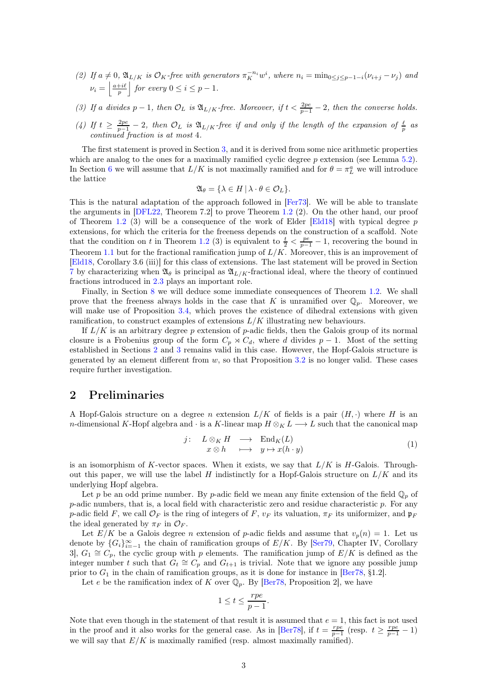- (2) If  $a \neq 0$ ,  $\mathfrak{A}_{L/K}$  is  $\mathcal{O}_K$ -free with generators  $\pi_K^{-n_i}w^i$ , where  $n_i = \min_{0 \leq j \leq p-1-i} (\nu_{i+j} \nu_j)$  and  $\nu_i = \left\lfloor \frac{a+i\ell}{p} \right\rfloor$  $\int$  for every  $0 \leq i \leq p-1$ .
- (3) If a divides  $p-1$ , then  $\mathcal{O}_L$  is  $\mathfrak{A}_{L/K}$ -free. Moreover, if  $t < \frac{2pe}{p-1} 2$ , then the converse holds.
- (4) If  $t \geq \frac{2pe}{p-1} 2$ , then  $\mathcal{O}_L$  is  $\mathfrak{A}_{L/K}$ -free if and only if the length of the expansion of  $\frac{\ell}{p}$  as continued fraction is at most 4.

The first statement is proved in Section [3,](#page-6-0) and it is derived from some nice arithmetic properties which are analog to the ones for a maximally ramified cyclic degree  $p$  extension (see Lemma [5.2\)](#page-11-0). In Section [6](#page-12-0) we will assume that  $L/K$  is not maximally ramified and for  $\theta = \pi_L^a$  we will introduce the lattice

$$
\mathfrak{A}_{\theta} = \{ \lambda \in H \, | \, \lambda \cdot \theta \in \mathcal{O}_L \}.
$$

This is the natural adaptation of the approach followed in [Fer73]. We will be able to translate the arguments in [DFL22, Theorem 7.2] to prove Theorem [1.2](#page-1-0) (2). On the other hand, our proof of Theorem [1.2](#page-1-0) (3) will be a consequence of the work of Elder [Eld18] with typical degree  $p$ extensions, for which the criteria for the freeness depends on the construction of a scaffold. Note that the condition on t in Theorem [1.2](#page-1-0) (3) is equivalent to  $\frac{t}{2} < \frac{pe}{p-1} - 1$ , recovering the bound in Theorem [1.1](#page-0-0) but for the fractional ramification jump of  $L/K$ . Moreover, this is an improvement of [Eld18, Corollary 3.6 (iii)] for this class of extensions. The last statement will be proved in Section [7](#page-17-0) by characterizing when  $\mathfrak{A}_{\beta}$  is principal as  $\mathfrak{A}_{L/K}$ -fractional ideal, where the theory of continued fractions introduced in [2.3](#page-5-0) plays an important role.

Finally, in Section [8](#page-25-0) we will deduce some immediate consequences of Theorem [1.2.](#page-1-0) We shall prove that the freeness always holds in the case that K is unramified over  $\mathbb{Q}_p$ . Moreover, we will make use of Proposition [3.4,](#page-9-1) which proves the existence of dihedral extensions with given ramification, to construct examples of extensions  $L/K$  illustrating new behaviours.

If  $L/K$  is an arbitrary degree p extension of p-adic fields, then the Galois group of its normal closure is a Frobenius group of the form  $C_p \rtimes C_d$ , where d divides  $p-1$ . Most of the setting established in Sections [2](#page-2-0) and [3](#page-6-0) remains valid in this case. However, the Hopf-Galois structure is generated by an element different from  $w$ , so that Proposition [3.2](#page-7-0) is no longer valid. These cases require further investigation.

## <span id="page-2-0"></span>2 Preliminaries

A Hopf-Galois structure on a degree n extension  $L/K$  of fields is a pair  $(H, \cdot)$  where H is an n-dimensional K-Hopf algebra and  $\cdot$  is a K-linear map  $H \otimes_K L \longrightarrow L$  such that the canonical map

<span id="page-2-1"></span>
$$
j: L \otimes_K H \longrightarrow \text{End}_K(L)
$$
  

$$
x \otimes h \longrightarrow y \mapsto x(h \cdot y)
$$
 (1)

is an isomorphism of K-vector spaces. When it exists, we say that  $L/K$  is H-Galois. Throughout this paper, we will use the label H indistinctly for a Hopf-Galois structure on  $L/K$  and its underlying Hopf algebra.

Let p be an odd prime number. By p-adic field we mean any finite extension of the field  $\mathbb{Q}_p$  of p-adic numbers, that is, a local field with characteristic zero and residue characteristic p. For any p-adic field F, we call  $\mathcal{O}_F$  is the ring of integers of F,  $v_F$  its valuation,  $\pi_F$  its uniformizer, and  $\mathfrak{p}_F$ the ideal generated by  $\pi_F$  in  $\mathcal{O}_F$ .

Let  $E/K$  be a Galois degree *n* extension of *p*-adic fields and assume that  $v_p(n) = 1$ . Let us denote by  ${G_i}_{i=-1}^{\infty}$  the chain of ramification groups of  $E/K$ . By [Ser79, Chapter IV, Corollary 3,  $G_1 \cong C_p$ , the cyclic group with p elements. The ramification jump of  $E/K$  is defined as the integer number t such that  $G_t \cong C_p$  and  $G_{t+1}$  is trivial. Note that we ignore any possible jump prior to  $G_1$  in the chain of ramification groups, as it is done for instance in [Ber78, §1.2].

Let e be the ramification index of K over  $\mathbb{Q}_p$ . By [Ber78, Proposition 2], we have

$$
1 \le t \le \frac{rpe}{p-1}.
$$

Note that even though in the statement of that result it is assumed that  $e = 1$ , this fact is not used in the proof and it also works for the general case. As in [Ber78], if  $t = \frac{rp_e}{p-1}$  (resp.  $t \ge \frac{rp_e}{p-1} - 1$ ) we will say that  $E/K$  is maximally ramified (resp. almost maximally ramified).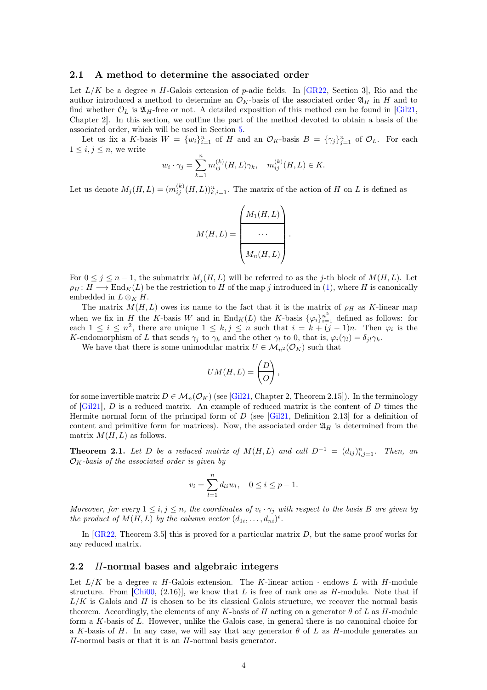#### <span id="page-3-0"></span>2.1 A method to determine the associated order

Let  $L/K$  be a degree n H-Galois extension of p-adic fields. In [GR22, Section 3], Rio and the author introduced a method to determine an  $\mathcal{O}_K$ -basis of the associated order  $\mathfrak{A}_H$  in H and to find whether  $\mathcal{O}_L$  is  $\mathfrak{A}_H$ -free or not. A detailed exposition of this method can be found in [Gil21, Chapter 2]. In this section, we outline the part of the method devoted to obtain a basis of the associated order, which will be used in Section [5.](#page-10-1)

Let us fix a K-basis  $W = \{w_i\}_{i=1}^n$  of H and an  $\mathcal{O}_K$ -basis  $B = \{\gamma_j\}_{j=1}^n$  of  $\mathcal{O}_L$ . For each  $1 \leq i, j \leq n$ , we write

$$
w_i \cdot \gamma_j = \sum_{k=1}^n m_{ij}^{(k)}(H, L)\gamma_k, \quad m_{ij}^{(k)}(H, L) \in K.
$$

Let us denote  $M_j(H, L) = (m_{ij}^{(k)}(H, L))_{k,i=1}^n$ . The matrix of the action of H on L is defined as

$$
M(H,L) = \left(\begin{array}{c} M_1(H,L) \\ \cdots \\ \hline M_n(H,L)\end{array}\right).
$$

For  $0 \leq j \leq n-1$ , the submatrix  $M_i(H, L)$  will be referred to as the j-th block of  $M(H, L)$ . Let  $\rho_H : H \longrightarrow \text{End}_K(L)$  be the restriction to H of the map j introduced in [\(1\)](#page-2-1), where H is canonically embedded in  $L \otimes_K H$ .

The matrix  $M(H, L)$  owes its name to the fact that it is the matrix of  $\rho_H$  as K-linear map when we fix in H the K-basis W and in  $\text{End}_K(L)$  the K-basis  $\{\varphi_i\}_{i=1}^{n^2}$  defined as follows: for each  $1 \leq i \leq n^2$ , there are unique  $1 \leq k, j \leq n$  such that  $i = k + (j - 1)n$ . Then  $\varphi_i$  is the K-endomorphism of L that sends  $\gamma_j$  to  $\gamma_k$  and the other  $\gamma_l$  to 0, that is,  $\varphi_i(\gamma_l) = \delta_{jl}\gamma_k$ .

We have that there is some unimodular matrix  $U \in \mathcal{M}_{n^2}(\mathcal{O}_K)$  such that

$$
UM(H,L) = \left(\begin{array}{c} D \\ O \end{array}\right),
$$

for some invertible matrix  $D \in \mathcal{M}_n(\mathcal{O}_K)$  (see [Gil21, Chapter 2, Theorem 2.15]). In the terminology of  $[Gi21], D$  is a reduced matrix. An example of reduced matrix is the content of D times the Hermite normal form of the principal form of  $D$  (see [Gil21, Definition 2.13] for a definition of content and primitive form for matrices). Now, the associated order  $\mathfrak{A}_H$  is determined from the matrix  $M(H, L)$  as follows.

<span id="page-3-1"></span>**Theorem 2.1.** Let D be a reduced matrix of  $M(H, L)$  and call  $D^{-1} = (d_{ij})_{i,j=1}^n$ . Then, an  $\mathcal{O}_K$ -basis of the associated order is given by

$$
v_i = \sum_{l=1}^{n} d_{li} w_l, \quad 0 \le i \le p-1.
$$

Moreover, for every  $1 \leq i, j \leq n$ , the coordinates of  $v_i \cdot \gamma_j$  with respect to the basis B are given by the product of  $M(H, L)$  by the column vector  $(d_{1i}, \ldots, d_{ni})^t$ .

In  $[GR22, Theorem 3.5]$  this is proved for a particular matrix D, but the same proof works for any reduced matrix.

#### <span id="page-3-2"></span>2.2 H-normal bases and algebraic integers

Let  $L/K$  be a degree n H-Galois extension. The K-linear action  $\cdot$  endows L with H-module structure. From [Chi00,  $(2.16)$ ], we know that L is free of rank one as H-module. Note that if  $L/K$  is Galois and H is chosen to be its classical Galois structure, we recover the normal basis theorem. Accordingly, the elements of any K-basis of H acting on a generator  $\theta$  of L as H-module form a K-basis of L. However, unlike the Galois case, in general there is no canonical choice for a K-basis of H. In any case, we will say that any generator  $\theta$  of L as H-module generates an  $H$ -normal basis or that it is an  $H$ -normal basis generator.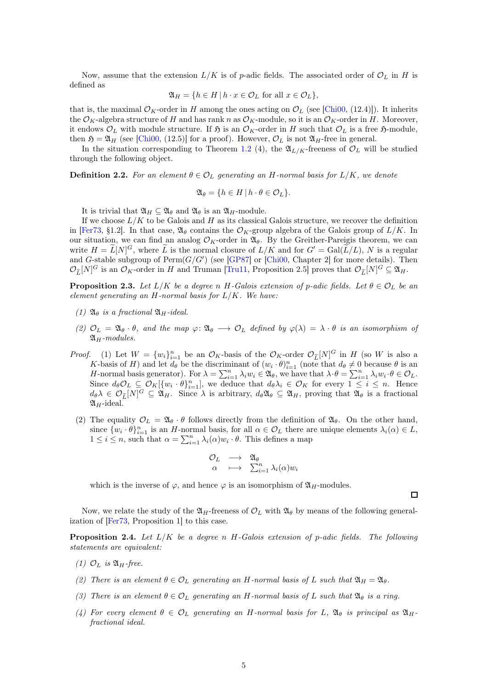Now, assume that the extension  $L/K$  is of p-adic fields. The associated order of  $\mathcal{O}_L$  in H is defined as

$$
\mathfrak{A}_H = \{ h \in H \mid h \cdot x \in \mathcal{O}_L \text{ for all } x \in \mathcal{O}_L \},
$$

that is, the maximal  $\mathcal{O}_K$ -order in H among the ones acting on  $\mathcal{O}_L$  (see [Chi00, (12.4)]). It inherits the  $\mathcal{O}_K$ -algebra structure of H and has rank n as  $\mathcal{O}_K$ -module, so it is an  $\mathcal{O}_K$ -order in H. Moreover, it endows  $\mathcal{O}_L$  with module structure. If  $\mathfrak{H}$  is an  $\mathcal{O}_K$ -order in H such that  $\mathcal{O}_L$  is a free  $\mathfrak{H}$ -module, then  $\mathfrak{H} = \mathfrak{A}_H$  (see [Chi00, (12.5)] for a proof). However,  $\mathcal{O}_L$  is not  $\mathfrak{A}_H$ -free in general.

In the situation corresponding to Theorem [1.2](#page-1-0) (4), the  $\mathfrak{A}_{L/K}$ -freeness of  $\mathcal{O}_L$  will be studied through the following object.

**Definition 2.2.** For an element  $\theta \in \mathcal{O}_L$  generating an H-normal basis for  $L/K$ , we denote

$$
\mathfrak{A}_{\theta} = \{ h \in H \mid h \cdot \theta \in \mathcal{O}_L \}.
$$

It is trivial that  $\mathfrak{A}_H \subseteq \mathfrak{A}_\theta$  and  $\mathfrak{A}_\theta$  is an  $\mathfrak{A}_H$ -module.

If we choose  $L/K$  to be Galois and H as its classical Galois structure, we recover the definition in [Fer73, §1.2]. In that case,  $\mathfrak{A}_{\theta}$  contains the  $\mathcal{O}_K$ -group algebra of the Galois group of  $L/K$ . In our situation, we can find an analog  $\mathcal{O}_K$ -order in  $\mathfrak{A}_{\theta}$ . By the Greither-Pareigis theorem, we can write  $H = \widetilde{L}[N]^G$ , where  $\widetilde{L}$  is the normal closure of  $L/K$  and for  $G' = \text{Gal}(\widetilde{L}/L)$ , N is a regular and G-stable subgroup of  $\text{Perm}(G/G')$  (see [GP87] or [Chi00, Chapter 2] for more details). Then  $\mathcal{O}_{\widetilde{L}}[N]^G$  is an  $\mathcal{O}_K$ -order in H and Truman [Tru11, Proposition 2.5] proves that  $\mathcal{O}_{\widetilde{L}}[N]^G \subseteq \mathfrak{A}_H$ .

**Proposition 2.3.** Let  $L/K$  be a degree n H-Galois extension of p-adic fields. Let  $\theta \in \mathcal{O}_L$  be an element generating an  $H$ -normal basis for  $L/K$ . We have:

- (1)  $\mathfrak{A}_{\theta}$  is a fractional  $\mathfrak{A}_{H}$ -ideal.
- (2)  $\mathcal{O}_L = \mathfrak{A}_{\theta} \cdot \theta$ , and the map  $\varphi \colon \mathfrak{A}_{\theta} \longrightarrow \mathcal{O}_L$  defined by  $\varphi(\lambda) = \lambda \cdot \theta$  is an isomorphism of  $\mathfrak{A}_H$ -modules.
- *Proof.* (1) Let  $W = \{w_i\}_{i=1}^n$  be an  $\mathcal{O}_K$ -basis of the  $\mathcal{O}_K$ -order  $\mathcal{O}_{\widetilde{L}}[N]^G$  in H (so W is also a K-basis of H) and let  $d_{\theta}$  be the discriminant of  $(w_i \cdot \theta)_{i=1}^n$  (note that  $d_{\theta} \neq 0$  because  $\theta$  is an H-normal basis generator). For  $\lambda = \sum_{i=1}^n \lambda_i w_i \in \mathfrak{A}_{\theta}$ , we have that  $\lambda \cdot \theta = \sum_{i=1}^n \lambda_i w_i \cdot \theta \in \mathcal{O}_L$ . Since  $d_{\theta} \mathcal{O}_L \subseteq \mathcal{O}_K[\{w_i \cdot \theta\}_{i=1}^n]$ , we deduce that  $d_{\theta} \lambda_i \in \mathcal{O}_K$  for every  $1 \leq i \leq n$ . Hence  $d_{\theta}\lambda \in \mathcal{O}_{\widetilde{L}}[N]^G \subseteq \mathfrak{A}_H$ . Since  $\lambda$  is arbitrary,  $d_{\theta}\mathfrak{A}_{\theta} \subseteq \mathfrak{A}_H$ , proving that  $\mathfrak{A}_{\theta}$  is a fractional  $\mathfrak{A}_H$ -ideal.
	- (2) The equality  $\mathcal{O}_L = \mathfrak{A}_{\theta} \cdot \theta$  follows directly from the definition of  $\mathfrak{A}_{\theta}$ . On the other hand, since  $\{w_i \cdot \theta\}_{i=1}^n$  is an H-normal basis, for all  $\alpha \in \mathcal{O}_L$  there are unique elements  $\lambda_i(\alpha) \in L$ ,  $1 \leq i \leq n$ , such that  $\alpha = \sum_{i=1}^{n} \lambda_i(\alpha) w_i \cdot \theta$ . This defines a map

$$
\begin{array}{ccc}\n\mathcal{O}_L & \longrightarrow & \mathfrak{A}_{\theta} \\
\alpha & \longmapsto & \sum_{i=1}^n \lambda_i(\alpha) w_i\n\end{array}
$$

which is the inverse of  $\varphi$ , and hence  $\varphi$  is an isomorphism of  $\mathfrak{A}_H$ -modules.

Now, we relate the study of the  $\mathfrak{A}_H$ -freeness of  $\mathcal{O}_L$  with  $\mathfrak{A}_\theta$  by means of the following generalization of [Fer73, Proposition 1] to this case.

<span id="page-4-0"></span>**Proposition 2.4.** Let  $L/K$  be a degree n H-Galois extension of p-adic fields. The following statements are equivalent:

- (1)  $\mathcal{O}_L$  is  $\mathfrak{A}_H$ -free.
- (2) There is an element  $\theta \in \mathcal{O}_L$  generating an H-normal basis of L such that  $\mathfrak{A}_H = \mathfrak{A}_\theta$ .
- (3) There is an element  $\theta \in \mathcal{O}_L$  generating an H-normal basis of L such that  $\mathfrak{A}_{\theta}$  is a ring.
- (4) For every element  $\theta \in \mathcal{O}_L$  generating an H-normal basis for L,  $\mathfrak{A}_{\theta}$  is principal as  $\mathfrak{A}_H$ . fractional ideal.

 $\Box$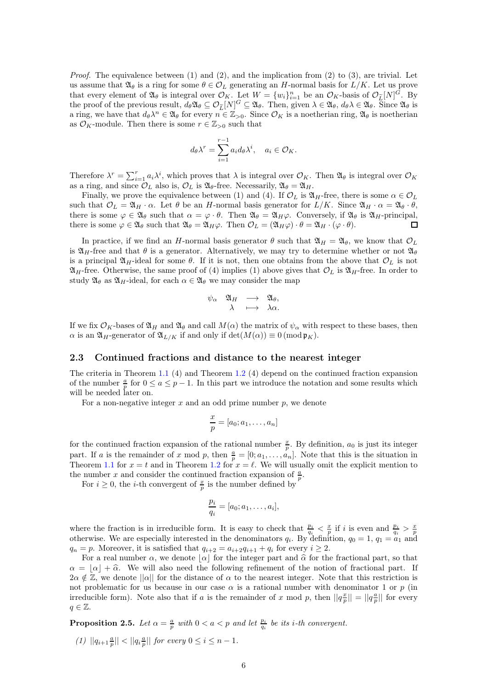*Proof.* The equivalence between  $(1)$  and  $(2)$ , and the implication from  $(2)$  to  $(3)$ , are trivial. Let us assume that  $\mathfrak{A}_{\theta}$  is a ring for some  $\theta \in \mathcal{O}_L$  generating an H-normal basis for  $L/K$ . Let us prove that every element of  $\mathfrak{A}_{\theta}$  is integral over  $\mathcal{O}_K$ . Let  $W = \{w_i\}_{i=1}^n$  be an  $\mathcal{O}_K$ -basis of  $\mathcal{O}_{\tilde{L}}[N]^G$ . By the proof of the previous result,  $d_{\theta} \mathfrak{A}_{\theta} \subseteq \mathcal{O}_{\widetilde{L}}[N]^G \subseteq \mathfrak{A}_{\theta}$ . Then, given  $\lambda \in \mathfrak{A}_{\theta}$ ,  $d_{\theta}\lambda \in \mathfrak{A}_{\theta}$ . Since  $\mathfrak{A}_{\theta}$  is a ring, we have that  $d_{\theta} \lambda^n \in \mathfrak{A}_{\theta}$  for every  $n \in \mathbb{Z}_{>0}$ . Since  $\mathcal{O}_K$  is a noetherian ring,  $\mathfrak{A}_{\theta}$  is noetherian as  $\mathcal{O}_K$ -module. Then there is some  $r \in \mathbb{Z}_{>0}$  such that

$$
d_{\theta} \lambda^{r} = \sum_{i=1}^{r-1} a_{i} d_{\theta} \lambda^{i}, \quad a_{i} \in \mathcal{O}_{K}.
$$

Therefore  $\lambda^r = \sum_{i=1}^r a_i \lambda^i$ , which proves that  $\lambda$  is integral over  $\mathcal{O}_K$ . Then  $\mathfrak{A}_{\theta}$  is integral over  $\mathcal{O}_K$ as a ring, and since  $\mathcal{O}_L$  also is,  $\mathcal{O}_L$  is  $\mathfrak{A}_{\theta}$ -free. Necessarily,  $\mathfrak{A}_{\theta} = \mathfrak{A}_H$ .

Finally, we prove the equivalence between (1) and (4). If  $\mathcal{O}_L$  is  $\mathfrak{A}_H$ -free, there is some  $\alpha \in \mathcal{O}_L$ such that  $\mathcal{O}_L = \mathfrak{A}_H \cdot \alpha$ . Let  $\theta$  be an H-normal basis generator for  $L/K$ . Since  $\mathfrak{A}_H \cdot \alpha = \mathfrak{A}_\theta \cdot \theta$ , there is some  $\varphi \in \mathfrak{A}_{\theta}$  such that  $\alpha = \varphi \cdot \theta$ . Then  $\mathfrak{A}_{\theta} = \mathfrak{A}_H \varphi$ . Conversely, if  $\mathfrak{A}_{\theta}$  is  $\mathfrak{A}_H$ -principal, there is some  $\varphi \in \mathfrak{A}_{\theta}$  such that  $\mathfrak{A}_{\theta} = \mathfrak{A}_{H}\varphi$ . Then  $\mathcal{O}_{L} = (\mathfrak{A}_{H}\varphi) \cdot \theta = \mathfrak{A}_{H} \cdot (\varphi \cdot \theta)$ . П

In practice, if we find an H-normal basis generator  $\theta$  such that  $\mathfrak{A}_H = \mathfrak{A}_{\theta}$ , we know that  $\mathcal{O}_L$ is  $\mathfrak{A}_H$ -free and that  $\theta$  is a generator. Alternatively, we may try to determine whether or not  $\mathfrak{A}_\theta$ is a principal  $\mathfrak{A}_H$ -ideal for some  $\theta$ . If it is not, then one obtains from the above that  $\mathcal{O}_L$  is not  $\mathfrak{A}_H$ -free. Otherwise, the same proof of (4) implies (1) above gives that  $\mathcal{O}_L$  is  $\mathfrak{A}_H$ -free. In order to study  $\mathfrak{A}_{\theta}$  as  $\mathfrak{A}_H$ -ideal, for each  $\alpha \in \mathfrak{A}_{\theta}$  we may consider the map

$$
\begin{array}{cccc}\n\psi_{\alpha} & \mathfrak{A}_H & \longrightarrow & \mathfrak{A}_{\theta}, \\
\lambda & \longmapsto & \lambda \alpha.\n\end{array}
$$

If we fix  $\mathcal{O}_K$ -bases of  $\mathfrak{A}_H$  and  $\mathfrak{A}_\theta$  and call  $M(\alpha)$  the matrix of  $\psi_\alpha$  with respect to these bases, then  $\alpha$  is an  $\mathfrak{A}_H$ -generator of  $\mathfrak{A}_{L/K}$  if and only if  $\det(M(\alpha)) \equiv 0 \pmod{\mathfrak{p}_K}$ .

#### <span id="page-5-0"></span>2.3 Continued fractions and distance to the nearest integer

The criteria in Theorem [1.1](#page-0-0) (4) and Theorem [1.2](#page-1-0) (4) depend on the continued fraction expansion of the number  $\frac{a}{p}$  for  $0 \le a \le p-1$ . In this part we introduce the notation and some results which will be needed later on.

For a non-negative integer  $x$  and an odd prime number  $p$ , we denote

$$
\frac{x}{p} = [a_0; a_1, \dots, a_n]
$$

for the continued fraction expansion of the rational number  $\frac{x}{p}$ . By definition,  $a_0$  is just its integer part. If a is the remainder of x mod p, then  $\frac{a}{p} = [0; a_1, \ldots, a_n]$ . Note that this is the situation in Theorem [1.1](#page-0-0) for  $x = t$  and in Theorem [1.2](#page-1-0) for  $x = \ell$ . We will usually omit the explicit mention to the number x and consider the continued fraction expansion of  $\frac{a}{p}$ .

For  $i \geq 0$ , the *i*-th convergent of  $\frac{x}{p}$  is the number defined by

$$
\frac{p_i}{q_i} = [a_0; a_1, \ldots, a_i],
$$

where the fraction is in irreducible form. It is easy to check that  $\frac{p_i}{q_i} < \frac{x}{p}$  if *i* is even and  $\frac{p_i}{q_i} > \frac{x}{p}$  otherwise. We are especially interested in the denominators  $q_i$ . By definition,  $q_0 = 1$ ,  $q_1 =$  $q_n = p$ . Moreover, it is satisfied that  $q_{i+2} = a_{i+2}q_{i+1} + q_i$  for every  $i \geq 2$ .

For a real number  $\alpha$ , we denote  $|\alpha|$  for the integer part and  $\hat{\alpha}$  for the fractional part, so that  $\alpha = |\alpha| + \hat{\alpha}$ . We will also need the following refinement of the notion of fractional part. If  $2\alpha \notin \mathbb{Z}$ , we denote  $||\alpha||$  for the distance of  $\alpha$  to the nearest integer. Note that this restriction is not problematic for us because in our case  $\alpha$  is a rational number with denominator 1 or p (in irreducible form). Note also that if a is the remainder of x mod p, then  $||q_{\overline{p}}^{\underline{x}}|| = ||q_{\overline{p}}^{\underline{a}}||$  for every  $q \in \mathbb{Z}$ .

<span id="page-5-1"></span>**Proposition 2.5.** Let  $\alpha = \frac{a}{p}$  with  $0 < a < p$  and let  $\frac{p_i}{q_i}$  be its *i*-th convergent.

(1)  $||q_{i+1}\frac{a}{p}|| < ||q_i\frac{a}{p}||$  for every  $0 \le i \le n-1$ .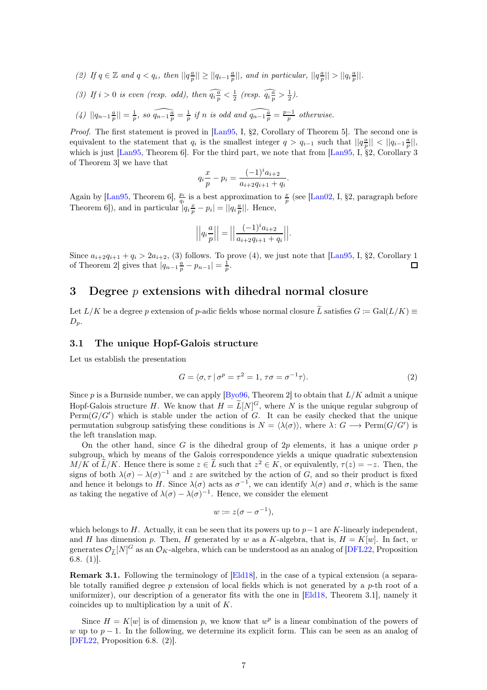(2) If  $q \in \mathbb{Z}$  and  $q < q_i$ , then  $||q_p^{\frac{a}{p}}|| \geq ||q_{i-1}\frac{a}{p}||$ , and in particular,  $||q_p^{\frac{a}{p}}|| > ||q_i\frac{a}{p}||$ .

(3) If 
$$
i > 0
$$
 is even (resp. odd), then  $\widehat{q_i \frac{a}{p}} < \frac{1}{2}$  (resp.  $\widehat{q_i \frac{a}{p}} > \frac{1}{2}$ ).

(4) 
$$
||q_{n-1}\frac{a}{p}|| = \frac{1}{p}
$$
, so  $\widehat{q_{n-1}\frac{a}{p}} = \frac{1}{p}$  if n is odd and  $\widehat{q_{n-1}\frac{a}{p}} = \frac{p-1}{p}$  otherwise.

Proof. The first statement is proved in [Lan95, I, §2, Corollary of Theorem 5]. The second one is equivalent to the statement that  $q_i$  is the smallest integer  $q > q_{i-1}$  such that  $||q_p^{\frac{a}{p}}|| < ||q_{i-1}^{\frac{a}{p}}||$ , which is just  $\text{Lan95}$ , Theorem 6. For the third part, we note that from  $\text{Lan95}$ , I, §2, Corollary 3 of Theorem 3] we have that

$$
q_i \frac{x}{p} - p_i = \frac{(-1)^i a_{i+2}}{a_{i+2} q_{i+1} + q_i}.
$$

Again by [Lan95, Theorem 6],  $\frac{p_i}{q_i}$  is a best approximation to  $\frac{x}{p}$  (see [Lan02, I, §2, paragraph before Theorem 6]), and in particular  $q_i \frac{x}{p} - p_i = ||q_i \frac{a}{p}||$ . Hence,

$$
\left| \left| q_i \frac{a}{p} \right| \right| = \left| \left| \frac{(-1)^i a_{i+2}}{a_{i+2} q_{i+1} + q_i} \right| \right|.
$$

Since  $a_{i+2}q_{i+1} + q_i > 2a_{i+2}$ , (3) follows. To prove (4), we just note that [Lan95, I, §2, Corollary 1 of Theorem 2] gives that  $|q_{n-1}\frac{a}{p} - p_{n-1}| = \frac{1}{p}$ .  $\Box$ 

## <span id="page-6-0"></span>3 Degree  $p$  extensions with dihedral normal closure

Let  $L/K$  be a degree p extension of p-adic fields whose normal closure  $\tilde{L}$  satisfies  $G := \text{Gal}(L/K)$  $D_p$ .

#### <span id="page-6-1"></span>3.1 The unique Hopf-Galois structure

Let us establish the presentation

<span id="page-6-2"></span>
$$
G = \langle \sigma, \tau \, | \, \sigma^p = \tau^2 = 1, \, \tau \sigma = \sigma^{-1} \tau \rangle. \tag{2}
$$

Since p is a Burnside number, we can apply [Byo96, Theorem 2] to obtain that  $L/K$  admit a unique Hopf-Galois structure H. We know that  $H = L[N]^G$ , where N is the unique regular subgroup of  $\text{Perm}(G/G')$  which is stable under the action of G. It can be easily checked that the unique permutation subgroup satisfying these conditions is  $N = \langle \lambda(\sigma) \rangle$ , where  $\lambda: G \longrightarrow \text{Perm}(G/G')$  is the left translation map.

On the other hand, since G is the dihedral group of  $2p$  elements, it has a unique order p subgroup, which by means of the Galois correspondence yields a unique quadratic subextension  $M/K$  of  $\tilde{L}/K$ . Hence there is some  $z \in L$  such that  $z^2 \in K$ , or equivalently,  $\tau(z) = -z$ . Then, the signs of both  $\lambda(\sigma) - \lambda(\sigma)^{-1}$  and z are switched by the action of G, and so their product is fixed and hence it belongs to H. Since  $\lambda(\sigma)$  acts as  $\sigma^{-1}$ , we can identify  $\lambda(\sigma)$  and  $\sigma$ , which is the same as taking the negative of  $\lambda(\sigma) - \lambda(\sigma)^{-1}$ . Hence, we consider the element

$$
w \coloneqq z(\sigma - \sigma^{-1}),
$$

which belongs to H. Actually, it can be seen that its powers up to  $p-1$  are K-linearly independent, and H has dimension p. Then, H generated by w as a K-algebra, that is,  $H = K[w]$ . In fact, w generates  $\mathcal{O}_{\widetilde{L}}[N]^G$  as an  $\mathcal{O}_K$ -algebra, which can be understood as an analog of [DFL22, Proposition 6.8. (1)].

<span id="page-6-3"></span>Remark 3.1. Following the terminology of [Eld18], in the case of a typical extension (a separable totally ramified degree  $p$  extension of local fields which is not generated by a  $p$ -th root of a uniformizer), our description of a generator fits with the one in [Eld18, Theorem 3.1], namely it coincides up to multiplication by a unit of K.

Since  $H = K[w]$  is of dimension p, we know that  $w^p$  is a linear combination of the powers of w up to  $p-1$ . In the following, we determine its explicit form. This can be seen as an analog of [DFL22, Proposition 6.8. (2)].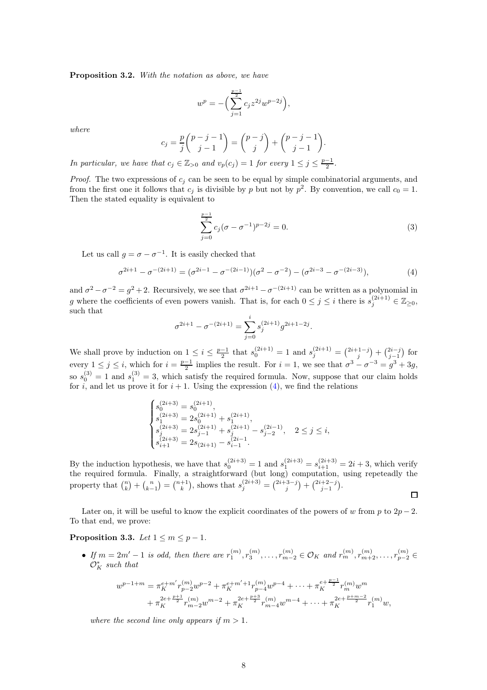<span id="page-7-0"></span>Proposition 3.2. With the notation as above, we have

$$
w^p = - \Big( \sum_{j=1}^{\frac{p-1}{2}} c_j z^{2j} w^{p-2j} \Big),
$$

where

$$
c_j = \frac{p}{j} \binom{p-j-1}{j-1} = \binom{p-j}{j} + \binom{p-j-1}{j-1}.
$$

In particular, we have that  $c_j \in \mathbb{Z}_{>0}$  and  $v_p(c_j) = 1$  for every  $1 \leq j \leq \frac{p-1}{2}$ .

*Proof.* The two expressions of  $c_i$  can be seen to be equal by simple combinatorial arguments, and from the first one it follows that  $c_j$  is divisible by p but not by  $p^2$ . By convention, we call  $c_0 = 1$ . Then the stated equality is equivalent to

$$
\sum_{j=0}^{\frac{p-1}{2}} c_j (\sigma - \sigma^{-1})^{p-2j} = 0.
$$
\n(3)

Let us call  $g = \sigma - \sigma^{-1}$ . It is easily checked that

<span id="page-7-1"></span>
$$
\sigma^{2i+1} - \sigma^{-(2i+1)} = (\sigma^{2i-1} - \sigma^{-(2i-1)})(\sigma^2 - \sigma^{-2}) - (\sigma^{2i-3} - \sigma^{-(2i-3)}),
$$
\n(4)

and  $\sigma^2 - \sigma^{-2} = g^2 + 2$ . Recursively, we see that  $\sigma^{2i+1} - \sigma^{-(2i+1)}$  can be written as a polynomial in g where the coefficients of even powers vanish. That is, for each  $0 \leq j \leq i$  there is  $s_j^{(2i+1)} \in \mathbb{Z}_{\geq 0}$ , such that

$$
\sigma^{2i+1} - \sigma^{-(2i+1)} = \sum_{j=0}^{i} s_j^{(2i+1)} g^{2i+1-2j}.
$$

We shall prove by induction on  $1 \leq i \leq \frac{p-1}{2}$  that  $s_0^{(2i+1)} = 1$  and  $s_j^{(2i+1)} = \binom{2i+1-j}{j} + \binom{2i-j}{j-1}$  for every  $1 \leq j \leq i$ , which for  $i = \frac{p-1}{2}$  implies the result. For  $i = 1$ , we see that  $\sigma^3 - \sigma^{-3} = g^3 + 3g$ , so  $s_0^{(3)} = 1$  and  $s_1^{(3)} = 3$ , which satisfy the required formula. Now, suppose that our claim holds for i, and let us prove it for  $i + 1$ . Using the expression [\(4\)](#page-7-1), we find the relations

$$
\begin{cases} s_0^{(2i+3)}=s_0^{(2i+1)},\\ s_1^{(2i+3)}=2s_0^{(2i+1)}+s_1^{(2i+1)},\\ s_j^{(2i+3)}=2s_{j-1}^{(2i+1)}+s_j^{(2i+1)}-s_{j-2}^{(2i-1)},\quad 2\leq j\leq i,\\ s_{i+1}^{(2i+3)}=2s_{(2i+1)}-s_{i-1}^{(2i-1)}. \end{cases}
$$

By the induction hypothesis, we have that  $s_0^{(2i+3)} = 1$  and  $s_1^{(2i+3)} = s_{i+1}^{(2i+3)} = 2i + 3$ , which verify the required formula. Finally, a straightforward (but long) computation, using repeteadly the property that  $\binom{n}{k} + \binom{n}{k-1} = \binom{n+1}{k}$ , shows that  $s_j^{(2i+3)} = \binom{2i+3-j}{j} + \binom{2i+2-j}{j-1}$ .  $\Box$ 

Later on, it will be useful to know the explicit coordinates of the powers of w from p to  $2p-2$ . To that end, we prove:

#### Proposition 3.3. Let  $1 \leq m \leq p-1$ .

• If  $m = 2m' - 1$  is odd, then there are  $r_1^{(m)}, r_3^{(m)}, \ldots, r_{m-2}^{(m)} \in \mathcal{O}_K$  and  $r_m^{(m)}, r_{m+2}^{(m)}, \ldots, r_{p-2}^{(m)} \in$  $\mathcal{O}_K^*$  such that

$$
w^{p-1+m} = \pi_K^{e+m'} r_{p-2}^{(m)} w^{p-2} + \pi_K^{e+m'+1} r_{p-4}^{(m)} w^{p-4} + \dots + \pi_K^{e+\frac{p-1}{2}} r_m^{(m)} w^m
$$
  
+ 
$$
\pi_K^{2e+\frac{p+1}{2}} r_{m-2}^{(m)} w^{m-2} + \pi_K^{2e+\frac{p+3}{2}} r_{m-4}^{(m)} w^{m-4} + \dots + \pi_K^{2e+\frac{p+m-2}{2}} r_1^{(m)} w,
$$

where the second line only appears if  $m > 1$ .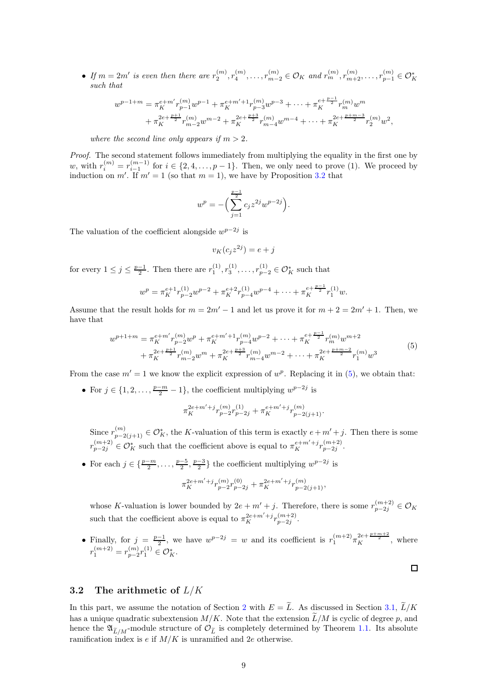• If  $m = 2m'$  is even then there are  $r_2^{(m)}, r_4^{(m)}, \ldots, r_{m-2}^{(m)} \in \mathcal{O}_K$  and  $r_m^{(m)}, r_{m+2}^{(m)}, \ldots, r_{p-1}^{(m)} \in \mathcal{O}_K^*$ such that

$$
\begin{split} w^{p-1+m} &= \pi_K^{e+m'} r_{p-1}^{(m)} w^{p-1} + \pi_K^{e+m'+1} r_{p-3}^{(m)} w^{p-3} + \cdots + \pi_K^{e+\frac{p-1}{2}} r_m^{(m)} w^m \\ &\quad + \pi_K^{2e+\frac{p+1}{2}} r_{m-2}^{(m)} w^{m-2} + \pi_K^{2e+\frac{p+3}{2}} r_{m-4}^{(m)} w^{m-4} + \cdots + \pi_K^{2e+\frac{p+m-3}{2}} r_2^{(m)} w^2, \end{split}
$$

where the second line only appears if  $m > 2$ .

Proof. The second statement follows immediately from multiplying the equality in the first one by w, with  $r_i^{(m)} = r_{i-1}^{(m-1)}$  for  $i \in \{2, 4, \ldots, p-1\}$ . Then, we only need to prove (1). We proceed by induction on m'. If  $m' = 1$  (so that  $m = 1$ ), we have by Proposition [3.2](#page-7-0) that

$$
w^{p} = -\left(\sum_{j=1}^{\frac{p-1}{2}} c_j z^{2j} w^{p-2j}\right).
$$

The valuation of the coefficient alongside  $w^{p-2j}$  is

$$
v_K(c_j z^{2j}) = e + j
$$

for every  $1 \le j \le \frac{p-1}{2}$ . Then there are  $r_1^{(1)}, r_3^{(1)}, \ldots, r_{p-2}^{(1)} \in \mathcal{O}_K^*$  such that

$$
w^{p} = \pi_{K}^{e+1} r_{p-2}^{(1)} w^{p-2} + \pi_{K}^{e+2} r_{p-4}^{(1)} w^{p-4} + \dots + \pi_{K}^{e+\frac{p-1}{2}} r_{1}^{(1)} w.
$$

Assume that the result holds for  $m = 2m' - 1$  and let us prove it for  $m + 2 = 2m' + 1$ . Then, we have that

$$
w^{p+1+m} = \pi_K^{e+m'} r_{p-2}^{(m)} w^p + \pi_K^{e+m'+1} r_{p-4}^{(m)} w^{p-2} + \dots + \pi_K^{e+\frac{p-1}{2}} r_m^{(m)} w^{m+2} + \pi_K^{2e+\frac{p+1}{2}} r_{m-2}^{(m)} w^m + \pi_K^{2e+\frac{p+3}{2}} r_{m-4}^{(m)} w^{m-2} + \dots + \pi_K^{2e+\frac{p+m-2}{2}} r_1^{(m)} w^3
$$
\n
$$
(5)
$$

<span id="page-8-0"></span>From the case  $m' = 1$  we know the explicit expression of  $w^p$ . Replacing it in [\(5\)](#page-8-0), we obtain that:

• For  $j \in \{1, 2, ..., \frac{p-m}{2} - 1\}$ , the coefficient multiplying  $w^{p-2j}$  is

$$
\pi_K^{2e+m'+j}r_{p-2}^{(m)}r_{p-2j}^{(1)}+\pi_K^{e+m'+j}r_{p-2(j+1)}^{(m)}.
$$

Since  $r_{p-2(j+1)}^{(m)} \in \mathcal{O}_K^*$ , the K-valuation of this term is exactly  $e+m'+j$ . Then there is some  $r_{p-2j}^{(m+2)} \in \mathcal{O}_K^*$  such that the coefficient above is equal to  $\pi_K^{e+m'+j} r_{p-2j}^{(m+2)}$ .

• For each  $j \in \{\frac{p-m}{2}, \ldots, \frac{p-5}{2}, \frac{p-3}{2}\}\$  the coefficient multiplying  $w^{p-2j}$  is

$$
\pi_K^{2e+m'+j}r_{p-2}^{(m)}r_{p-2j}^{(0)}+\pi_K^{2e+m'+j}r_{p-2(j+1)}^{(m)},
$$

whose K-valuation is lower bounded by  $2e + m' + j$ . Therefore, there is some  $r_{p-2j}^{(m+2)} \in \mathcal{O}_K$ such that the coefficient above is equal to  $\pi_K^{2e+m'+j} r_{p-2j}^{(m+2)}$ .

• Finally, for  $j = \frac{p-1}{2}$ , we have  $w^{p-2j} = w$  and its coefficient is  $r_1^{(m+2)} \pi_K^{2e + \frac{p+m+2}{2}}$ , where  $r_1^{(m+2)} = r_{p-2}^{(m)} r_1^{(1)} \in \mathcal{O}_K^*$ .

 $\Box$ 

#### <span id="page-8-1"></span>3.2 The arithmetic of  $L/K$

In this part, we assume the notation of Section [2](#page-2-0) with  $E = \tilde{L}$ . As discussed in Section [3.1,](#page-6-1)  $\tilde{L}/K$ has a unique quadratic subextension  $M/K$ . Note that the extension  $\tilde{L}/M$  is cyclic of degree p, and hence the  $\mathfrak{A}_{\tilde{L}/M}$ -module structure of  $\mathcal{O}_{\tilde{L}}$  is completely determined by Theorem [1.1.](#page-0-0) Its absolute ramification index is  $e$  if  $M/K$  is unramified and  $2e$  otherwise.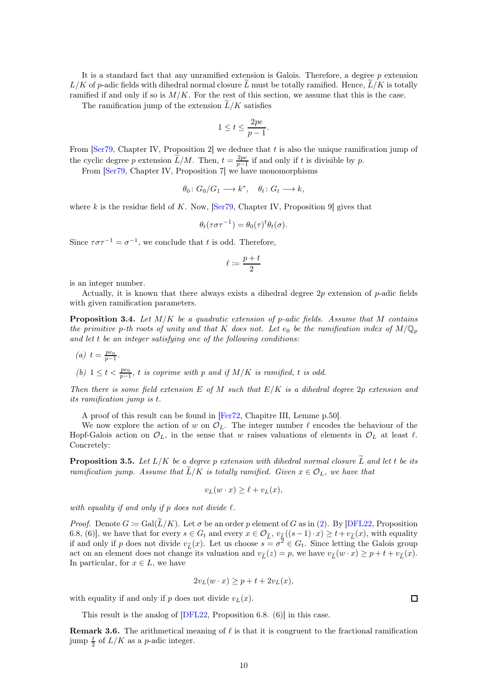It is a standard fact that any unramified extension is Galois. Therefore, a degree  $p$  extension  $L/K$  of p-adic fields with dihedral normal closure  $\tilde{L}$  must be totally ramified. Hence,  $\tilde{L}/K$  is totally ramified if and only if so is  $M/K$ . For the rest of this section, we assume that this is the case.

The ramification jump of the extension  $\widetilde{L}/K$  satisfies

$$
1\leq t\leq \frac{2pe}{p-1}.
$$

From  $\left[ \text{Ser79}, \text{Chapter IV}, \text{Proposition 2} \right]$  we deduce that t is also the unique ramification jump of the cyclic degree p extension  $\widetilde{L}/M$ . Then,  $t = \frac{2pe}{p-1}$  if and only if t is divisible by p.

From [Ser79, Chapter IV, Proposition 7] we have monomorphisms

$$
\theta_0 \colon G_0/G_1 \longrightarrow k^*, \quad \theta_t \colon G_t \longrightarrow k,
$$

where k is the residue field of K. Now, [Ser79, Chapter IV, Proposition 9] gives that

$$
\theta_t(\tau \sigma \tau^{-1}) = \theta_0(\tau)^t \theta_t(\sigma).
$$

Since  $\tau \sigma \tau^{-1} = \sigma^{-1}$ , we conclude that t is odd. Therefore,

$$
\ell \coloneqq \frac{p+t}{2}
$$

is an integer number.

Actually, it is known that there always exists a dihedral degree 2p extension of p-adic fields with given ramification parameters.

<span id="page-9-1"></span>**Proposition 3.4.** Let  $M/K$  be a quadratic extension of p-adic fields. Assume that M contains the primitive p-th roots of unity and that K does not. Let  $e_0$  be the ramification index of  $M/\mathbb{Q}_p$ and let t be an integer satisfying one of the following conditions:

\n- (a) 
$$
t = \frac{pe_0}{p-1}
$$
.
\n- (b)  $1 \le t < \frac{pe_0}{p-1}$ , *t* is coprime with *p* and if  $M/K$  is ramified, *t* is odd.
\n

Then there is some field extension E of M such that  $E/K$  is a dihedral degree 2p extension and its ramification jump is t.

A proof of this result can be found in [Fer72, Chapitre III, Lemme p.50].

We now explore the action of w on  $\mathcal{O}_L$ . The integer number  $\ell$  encodes the behaviour of the Hopf-Galois action on  $\mathcal{O}_L$ , in the sense that w raises valuations of elements in  $\mathcal{O}_L$  at least  $\ell$ . Concretely:

<span id="page-9-0"></span>**Proposition 3.5.** Let  $L/K$  be a degree p extension with dihedral normal closure  $\widetilde{L}$  and let t be its ramification jump. Assume that  $\widetilde{L}/K$  is totally ramified. Given  $x \in \mathcal{O}_L$ , we have that

$$
v_L(w \cdot x) \ge \ell + v_L(x),
$$

with equality if and only if p does not divide  $\ell$ .

*Proof.* Denote  $G := \text{Gal}(\widetilde{L}/K)$ . Let  $\sigma$  be an order p element of G as in [\(2\)](#page-6-2). By [DFL22, Proposition 6.8, (6)], we have that for every  $s \in G_t$  and every  $x \in \mathcal{O}_{\widetilde{L}}$ ,  $v_{\widetilde{L}}((s-1)\cdot x) \geq t+v_{\widetilde{L}}(x)$ , with equality if and only if p does not divide  $v_{\tilde{L}}(x)$ . Let us choose  $s = \sigma^2 \in G_t$ . Since letting the Galois group act on an element does not change its valuation and  $v_{\tilde{L}}(z) = p$ , we have  $v_{\tilde{L}}(w \cdot x) \geq p + t + v_{\tilde{L}}(x)$ . In particular, for  $x \in L$ , we have

$$
2v_L(w \cdot x) \ge p + t + 2v_L(x),
$$

with equality if and only if p does not divide  $v<sub>L</sub>(x)$ .

This result is the analog of [DFL22, Proposition 6.8. (6)] in this case.

**Remark 3.6.** The arithmetical meaning of  $\ell$  is that it is congruent to the fractional ramification jump  $\frac{t}{2}$  of  $L/K$  as a *p*-adic integer.

 $\Box$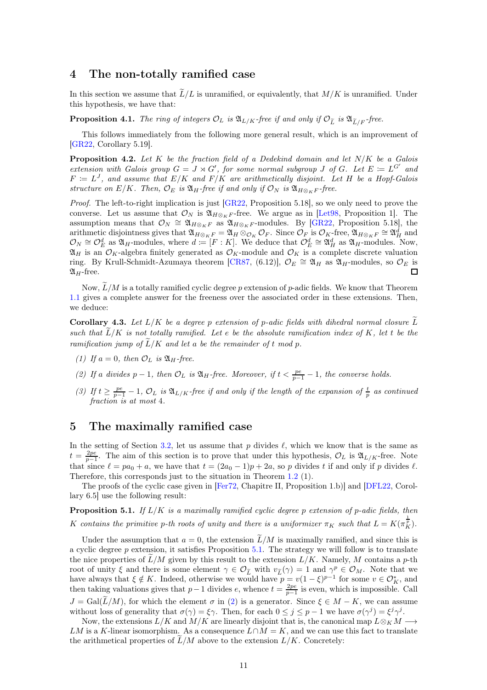## <span id="page-10-0"></span>4 The non-totally ramified case

In this section we assume that  $\tilde{L}/L$  is unramified, or equivalently, that  $M/K$  is unramified. Under this hypothesis, we have that:

**Proposition 4.1.** The ring of integers  $\mathcal{O}_L$  is  $\mathfrak{A}_{L/K}$ -free if and only if  $\mathcal{O}_{\widetilde{L}}$  is  $\mathfrak{A}_{\widetilde{L}/F}$ -free.

This follows immediately from the following more general result, which is an improvement of [GR22, Corollary 5.19].

<span id="page-10-4"></span>**Proposition 4.2.** Let K be the fraction field of a Dedekind domain and let  $N/K$  be a Galois extension with Galois group  $G = J \rtimes G'$ , for some normal subgroup J of G. Let  $E := L^{G'}$  and  $F := L<sup>J</sup>$ , and assume that  $E/K$  and  $F/K$  are arithmetically disjoint. Let H be a Hopf-Galois structure on  $E/K$ . Then,  $\mathcal{O}_E$  is  $\mathfrak{A}_H$ -free if and only if  $\mathcal{O}_N$  is  $\mathfrak{A}_{H\otimes_K F}$ -free.

*Proof.* The left-to-right implication is just  $[GR22, Proposition 5.18]$ , so we only need to prove the converse. Let us assume that  $\mathcal{O}_N$  is  $\mathfrak{A}_{H\otimes_K F}$ -free. We argue as in [Let<sub>98</sub>, Proposition 1]. The assumption means that  $\mathcal{O}_N \cong \mathfrak{A}_{H\otimes_K F}$  as  $\mathfrak{A}_{H\otimes_K F}$ -modules. By [GR22, Proposition 5.18], the arithmetic disjointness gives that  $\mathfrak{A}_{H\otimes_K F} = \mathfrak{A}_H \otimes_{\mathcal{O}_K} \mathcal{O}_F$ . Since  $\mathcal{O}_F$  is  $\mathcal{O}_K$ -free,  $\mathfrak{A}_{H\otimes_K F} \cong \mathfrak{A}_H^d$  and  $\mathcal{O}_N \cong \mathcal{O}_E^d$  as  $\mathfrak{A}_H$ -modules, where  $d := [F : K]$ . We deduce that  $\mathcal{O}_E^d \cong \mathfrak{A}_H^d$  as  $\mathfrak{A}_H$ -modules. Now,  $\mathfrak{A}_H$  is an  $\mathcal{O}_K$ -algebra finitely generated as  $\mathcal{O}_K$ -module and  $\mathcal{O}_K$  is a complete discrete valuation ring. By Krull-Schmidt-Azumaya theorem [CR87, (6.12)],  $\mathcal{O}_E \cong \mathfrak{A}_H$  as  $\mathfrak{A}_H$ -modules, so  $\mathcal{O}_E$  is  $\mathfrak{A}_H$ -free.  $\Box$ 

Now,  $\tilde{L}/M$  is a totally ramified cyclic degree p extension of p-adic fields. We know that Theorem [1.1](#page-0-0) gives a complete answer for the freeness over the associated order in these extensions. Then, we deduce:

<span id="page-10-3"></span>**Corollary 4.3.** Let  $L/K$  be a degree p extension of p-adic fields with dihedral normal closure  $\widetilde{L}$ such that  $\tilde{L}/K$  is not totally ramified. Let e be the absolute ramification index of K, let t be the ramification jump of  $\tilde{L}/K$  and let a be the remainder of t mod p.

- (1) If  $a = 0$ , then  $\mathcal{O}_L$  is  $\mathfrak{A}_H$ -free.
- (2) If a divides  $p-1$ , then  $\mathcal{O}_L$  is  $\mathfrak{A}_H$ -free. Moreover, if  $t < \frac{pe}{p-1} 1$ , the converse holds.
- (3) If  $t \geq \frac{pe}{p-1} 1$ ,  $\mathcal{O}_L$  is  $\mathfrak{A}_{L/K}$ -free if and only if the length of the expansion of  $\frac{t}{p}$  as continued fraction is at most 4.

## <span id="page-10-1"></span>5 The maximally ramified case

In the setting of Section [3.2,](#page-8-1) let us assume that p divides  $\ell$ , which we know that is the same as  $t = \frac{2pe}{p-1}$ . The aim of this section is to prove that under this hypothesis,  $\mathcal{O}_L$  is  $\mathfrak{A}_{L/K}$ -free. Note that since  $\ell = pa_0 + a$ , we have that  $t = (2a_0 - 1)p + 2a$ , so p divides t if and only if p divides  $\ell$ . Therefore, this corresponds just to the situation in Theorem [1.2](#page-1-0) (1).

The proofs of the cyclic case given in [Fer72, Chapitre II, Proposition 1.b)] and [DFL22, Corollary 6.5] use the following result:

<span id="page-10-2"></span>**Proposition 5.1.** If  $L/K$  is a maximally ramified cyclic degree p extension of p-adic fields, then K contains the primitive p-th roots of unity and there is a uniformizer  $\pi_K$  such that  $L = K(\pi_K^{\frac{1}{p}})$ .

Under the assumption that  $a = 0$ , the extension  $L/M$  is maximally ramified, and since this is a cyclic degree  $p$  extension, it satisfies Proposition  $5.1$ . The strategy we will follow is to translate the nice properties of  $\widetilde{L}/M$  given by this result to the extension  $L/K$ . Namely, M contains a p-th root of unity  $\xi$  and there is some element  $\gamma \in \mathcal{O}_{\widetilde{L}}$  with  $v_{\widetilde{L}}(\gamma) = 1$  and  $\gamma^p \in \mathcal{O}_M$ . Note that we have always that  $\xi \notin K$ . Indeed, otherwise we would have  $p = v(1 - \xi)^{p-1}$  for some  $v \in \mathcal{O}_K^*$ , and then taking valuations gives that  $p-1$  divides e, whence  $t = \frac{2pe}{p-1}$  is even, which is impossible. Call  $J = \text{Gal}(\tilde{L}/M)$ , for which the element  $\sigma$  in [\(2\)](#page-6-2) is a generator. Since  $\xi \in M - K$ , we can assume without loss of generality that  $\sigma(\gamma) = \xi \gamma$ . Then, for each  $0 \leq j \leq p-1$  we have  $\sigma(\gamma^j) = \xi^j \gamma^j$ .

Now, the extensions  $L/K$  and  $M/K$  are linearly disjoint that is, the canonical map  $L \otimes_K M \longrightarrow$ LM is a K-linear isomorphism. As a consequence  $L \cap M = K$ , and we can use this fact to translate the arithmetical properties of  $L/M$  above to the extension  $L/K$ . Concretely: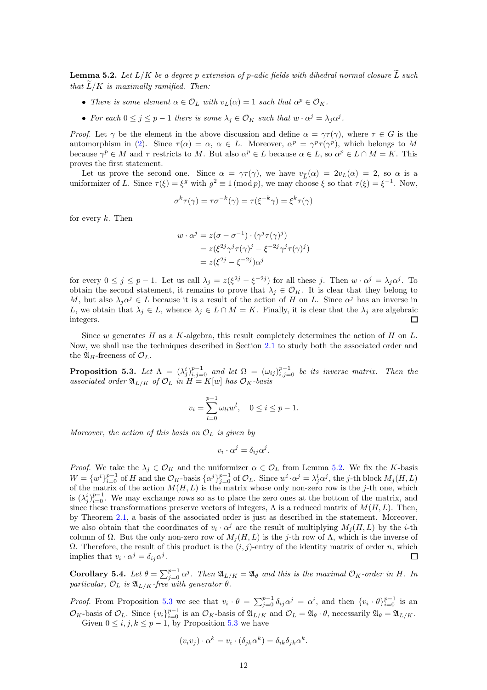<span id="page-11-0"></span>**Lemma 5.2.** Let  $L/K$  be a degree p extension of p-adic fields with dihedral normal closure  $\tilde{L}$  such that  $\widetilde{L}/K$  is maximally ramified. Then:

- There is some element  $\alpha \in \mathcal{O}_L$  with  $v_L(\alpha) = 1$  such that  $\alpha^p \in \mathcal{O}_K$ .
- For each  $0 \leq j \leq p-1$  there is some  $\lambda_j \in \mathcal{O}_K$  such that  $w \cdot \alpha^j = \lambda_j \alpha^j$ .

*Proof.* Let  $\gamma$  be the element in the above discussion and define  $\alpha = \gamma \tau(\gamma)$ , where  $\tau \in G$  is the automorphism in [\(2\)](#page-6-2). Since  $\tau(\alpha) = \alpha, \ \alpha \in L$ . Moreover,  $\alpha^p = \gamma^p \tau(\gamma^p)$ , which belongs to M because  $\gamma^p \in M$  and  $\tau$  restricts to M. But also  $\alpha^p \in L$  because  $\alpha \in L$ , so  $\alpha^p \in L \cap M = K$ . This proves the first statement.

Let us prove the second one. Since  $\alpha = \gamma \tau(\gamma)$ , we have  $v_{\tilde{L}}(\alpha) = 2v_L(\alpha) = 2$ , so  $\alpha$  is a uniformizer of L. Since  $\tau(\xi) = \xi^g$  with  $g^2 \equiv 1 \pmod{p}$ , we may choose  $\xi$  so that  $\tau(\xi) = \xi^{-1}$ . Now,

$$
\sigma^k \tau(\gamma) = \tau \sigma^{-k}(\gamma) = \tau(\xi^{-k} \gamma) = \xi^k \tau(\gamma)
$$

for every  $k$ . Then

$$
w \cdot \alpha^j = z(\sigma - \sigma^{-1}) \cdot (\gamma^j \tau(\gamma)^j)
$$
  
=  $z(\xi^{2j}\gamma^j \tau(\gamma)^j - \xi^{-2j}\gamma^j \tau(\gamma)^j)$   
=  $z(\xi^{2j} - \xi^{-2j})\alpha^j$ 

for every  $0 \le j \le p-1$ . Let us call  $\lambda_j = z(\xi^{2j} - \xi^{-2j})$  for all these j. Then  $w \cdot \alpha^j = \lambda_j \alpha^j$ . To obtain the second statement, it remains to prove that  $\lambda_j \in \mathcal{O}_K$ . It is clear that they belong to M, but also  $\lambda_j \alpha^j \in L$  because it is a result of the action of H on L. Since  $\alpha^j$  has an inverse in L, we obtain that  $\lambda_j \in L$ , whence  $\lambda_j \in L \cap M = K$ . Finally, it is clear that the  $\lambda_j$  are algebraic integers. 口

Since w generates H as a K-algebra, this result completely determines the action of H on  $L$ . Now, we shall use the techniques described in Section [2.1](#page-3-0) to study both the associated order and the  $\mathfrak{A}_H$ -freeness of  $\mathcal{O}_L$ .

<span id="page-11-1"></span>**Proposition 5.3.** Let  $\Lambda = (\lambda_j^i)_{i,j=0}^{p-1}$  and let  $\Omega = (\omega_{ij})_{i,j=0}^{p-1}$  be its inverse matrix. Then the associated order  $\mathfrak{A}_{L/K}$  of  $\mathcal{O}_L$  in  $H = K[w]$  has  $\mathcal{O}_K$ -basis

$$
v_i = \sum_{l=0}^{p-1} \omega_{li} w^l, \quad 0 \le i \le p-1.
$$

Moreover, the action of this basis on  $\mathcal{O}_L$  is given by

$$
v_i \cdot \alpha^j = \delta_{ij} \alpha^j.
$$

*Proof.* We take the  $\lambda_j \in \mathcal{O}_K$  and the uniformizer  $\alpha \in \mathcal{O}_L$  from Lemma [5.2.](#page-11-0) We fix the K-basis  $W = \{w^i\}_{i=0}^{p-1}$  of H and the  $\mathcal{O}_K$ -basis  $\{\alpha^j\}_{j=0}^{p-1}$  of  $\mathcal{O}_L$ . Since  $w^i \cdot \alpha^j = \lambda_j^i \alpha^j$ , the j-th block  $M_j(H, L)$ of the matrix of the action  $M(H, L)$  is the matrix whose only non-zero row is the j-th one, which is  $(\lambda_j^i)_{i=0}^{p-1}$ . We may exchange rows so as to place the zero ones at the bottom of the matrix, and since these transformations preserve vectors of integers,  $\Lambda$  is a reduced matrix of  $M(H, L)$ . Then, by Theorem [2.1,](#page-3-1) a basis of the associated order is just as described in the statement. Moreover, we also obtain that the coordinates of  $v_i \cdot \alpha^j$  are the result of multiplying  $M_j(H, L)$  by the *i*-th column of Ω. But the only non-zero row of  $M_i(H, L)$  is the j-th row of Λ, which is the inverse of  $Ω.$  Therefore, the result of this product is the  $(i, j)$ -entry of the identity matrix of order *n*, which implies that  $v_i \cdot \alpha^j = \delta_{ij} \alpha^j$ .  $\Box$ 

<span id="page-11-2"></span>Corollary 5.4. Let  $\theta = \sum_{j=0}^{p-1} \alpha^j$ . Then  $\mathfrak{A}_{L/K} = \mathfrak{A}_{\theta}$  and this is the maximal  $\mathcal{O}_K$ -order in H. In particular,  $\mathcal{O}_L$  is  $\mathfrak{A}_{L/K}$ -free with generator  $\theta$ .

*Proof.* From Proposition [5.3](#page-11-1) we see that  $v_i \cdot \theta = \sum_{j=0}^{p-1} \delta_{ij} \alpha^j = \alpha^i$ , and then  $\{v_i \cdot \theta\}_{i=0}^{p-1}$  is an  $\mathcal{O}_K$ -basis of  $\mathcal{O}_L$ . Since  $\{v_i\}_{i=0}^{p-1}$  is an  $\mathcal{O}_K$ -basis of  $\mathfrak{A}_{L/K}$  and  $\mathcal{O}_L = \mathfrak{A}_{\theta} \cdot \theta$ , necessarily  $\mathfrak{A}_{\theta} = \mathfrak{A}_{L/K}$ . Given  $0 \le i, j, k \le p-1$ , by Proposition [5.3](#page-11-1) we have

$$
(v_i v_j) \cdot \alpha^k = v_i \cdot (\delta_{jk} \alpha^k) = \delta_{ik} \delta_{jk} \alpha^k.
$$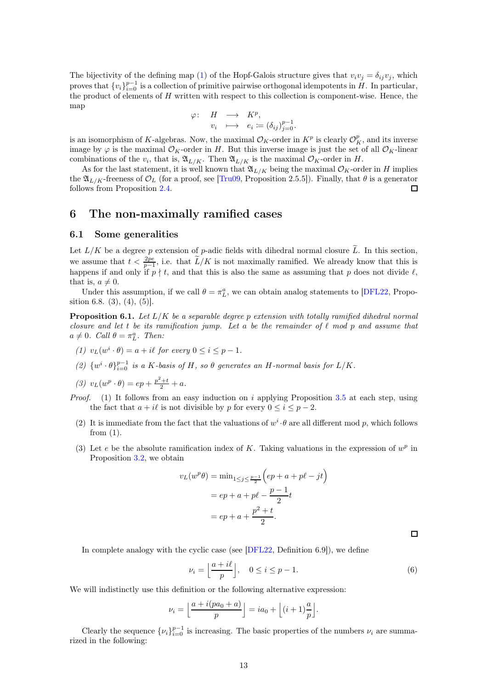The bijectivity of the defining map [\(1\)](#page-2-1) of the Hopf-Galois structure gives that  $v_i v_j = \delta_{ij} v_j$ , which proves that  $\{v_i\}_{i=0}^{p-1}$  is a collection of primitive pairwise orthogonal idempotents in H. In particular, the product of elements of H written with respect to this collection is component-wise. Hence, the map

$$
\begin{array}{rccc}\n\varphi:& H & \longrightarrow & K^p, \\
v_i& \longmapsto & e_i := (\delta_{ij})_{j=0}^{p-1}.\n\end{array}
$$

is an isomorphism of K-algebras. Now, the maximal  $\mathcal{O}_K$ -order in  $K^p$  is clearly  $\mathcal{O}_K^p$ , and its inverse image by  $\varphi$  is the maximal  $\mathcal{O}_K$ -order in H. But this inverse image is just the set of all  $\mathcal{O}_K$ -linear combinations of the  $v_i$ , that is,  $\mathfrak{A}_{L/K}$ . Then  $\mathfrak{A}_{L/K}$  is the maximal  $\mathcal{O}_K$ -order in H.

As for the last statement, it is well known that  $\mathfrak{A}_{L/K}$  being the maximal  $\mathcal{O}_K$ -order in H implies the  $\mathfrak{A}_{L/K}$ -freeness of  $\mathcal{O}_L$  (for a proof, see [Tru09, Proposition 2.5.5]). Finally, that  $\theta$  is a generator follows from Proposition [2.4.](#page-4-0)  $\Box$ 

## <span id="page-12-0"></span>6 The non-maximally ramified cases

#### <span id="page-12-2"></span>6.1 Some generalities

Let  $L/K$  be a degree p extension of p-adic fields with dihedral normal closure  $\tilde{L}$ . In this section, we assume that  $t < \frac{2pe}{p-1}$ , i.e. that  $\widetilde{L}/K$  is not maximally ramified. We already know that this is happens if and only if  $p \nmid t$ , and that this is also the same as assuming that p does not divide  $\ell$ , that is,  $a \neq 0$ .

Under this assumption, if we call  $\theta = \pi_L^a$ , we can obtain analog statements to [DFL22, Proposition 6.8.  $(3)$ ,  $(4)$ ,  $(5)$ ].

<span id="page-12-1"></span>**Proposition 6.1.** Let  $L/K$  be a separable degree p extension with totally ramified dihedral normal closure and let t be its ramification jump. Let a be the remainder of  $\ell$  mod p and assume that  $a \neq 0$ . Call  $\theta = \pi_L^a$ . Then:

- (1)  $v_L(w^i \cdot \theta) = a + i\ell$  for every  $0 \le i \le p 1$ .
- (2)  $\{w^i \cdot \theta\}_{i=0}^{p-1}$  is a K-basis of H, so  $\theta$  generates an H-normal basis for  $L/K$ .
- (3)  $v_L(w^p \cdot \theta) = ep + \frac{p^2+t}{2} + a.$
- *Proof.* (1) It follows from an easy induction on i applying Proposition  $3.5$  at each step, using the fact that  $a + i\ell$  is not divisible by p for every  $0 \le i \le p - 2$ .
	- (2) It is immediate from the fact that the valuations of  $w^i \cdot \theta$  are all different mod p, which follows from  $(1)$ .
	- (3) Let e be the absolute ramification index of K. Taking valuations in the expression of  $w^p$  in Proposition [3.2,](#page-7-0) we obtain

$$
v_L(w^p \theta) = \min_{1 \le j \le \frac{p-1}{2}} \left( ep + a + p\ell - jt \right)
$$

$$
= ep + a + p\ell - \frac{p-1}{2}t
$$

$$
= ep + a + \frac{p^2 + t}{2}.
$$

 $\Box$ 

In complete analogy with the cyclic case (see [DFL22, Definition 6.9]), we define

$$
\nu_i = \left\lfloor \frac{a+i\ell}{p} \right\rfloor, \quad 0 \le i \le p-1. \tag{6}
$$

We will indistinctly use this definition or the following alternative expression:

$$
\nu_i = \left\lfloor \frac{a + i(pa_0 + a)}{p} \right\rfloor = ia_0 + \left\lfloor (i+1)\frac{a}{p} \right\rfloor.
$$

Clearly the sequence  $\{\nu_i\}_{i=0}^{p-1}$  is increasing. The basic properties of the numbers  $\nu_i$  are summarized in the following: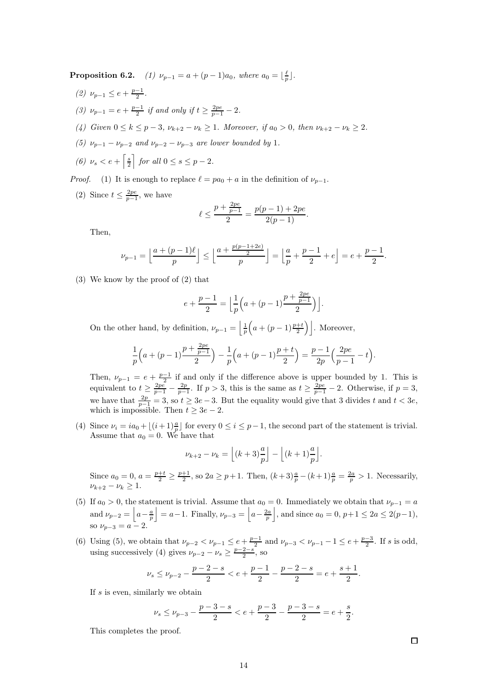**Proposition 6.2.** (1)  $\nu_{p-1} = a + (p-1)a_0$ , where  $a_0 = \lfloor \frac{\ell}{p} \rfloor$ .

- (2)  $\nu_{p-1} \leq e + \frac{p-1}{2}$ .
- (3)  $\nu_{p-1} = e + \frac{p-1}{2}$  if and only if  $t \ge \frac{2pe}{p-1} 2$ .
- (4) Given  $0 \le k \le p-3$ ,  $\nu_{k+2} \nu_k \ge 1$ . Moreover, if  $a_0 > 0$ , then  $\nu_{k+2} \nu_k \ge 2$ .
- (5)  $\nu_{n-1} \nu_{n-2}$  and  $\nu_{n-2} \nu_{n-3}$  are lower bounded by 1.
- (6)  $\nu_s < e + \left[\frac{s}{2}\right]$  $\left| \int$  for all  $0 \leq s \leq p-2$ .

*Proof.* (1) It is enough to replace  $\ell = pa_0 + a$  in the definition of  $\nu_{p-1}$ .

(2) Since  $t \leq \frac{2pe}{p-1}$ , we have

$$
\ell \le \frac{p + \frac{2pe}{p-1}}{2} = \frac{p(p-1) + 2pe}{2(p-1)}.
$$

Then,

$$
\nu_{p-1} = \left\lfloor \frac{a+(p-1)\ell}{p} \right\rfloor \le \left\lfloor \frac{a+\frac{p(p-1+2e)}{2}}{p} \right\rfloor = \left\lfloor \frac{a}{p} + \frac{p-1}{2} + e \right\rfloor = e + \frac{p-1}{2}.
$$

(3) We know by the proof of (2) that

$$
e + \frac{p-1}{2} = \left\lfloor \frac{1}{p} \left( a + (p-1) \frac{p + \frac{2pe}{p-1}}{2} \right) \right\rfloor.
$$

On the other hand, by definition,  $\nu_{p-1} = \left| \frac{1}{p} \right|$  $\left(a+(p-1)\frac{p+t}{2}\right)$ . Moreover,

$$
\frac{1}{p}\left(a+(p-1)\frac{p+\frac{2pe}{p-1}}{2}\right)-\frac{1}{p}\left(a+(p-1)\frac{p+t}{2}\right)=\frac{p-1}{2p}\left(\frac{2pe}{p-1}-t\right).
$$

Then,  $\nu_{p-1} = e + \frac{p-1}{2}$  if and only if the difference above is upper bounded by 1. This is equivalent to  $t \geq \frac{2pe}{p-1} - \frac{2p}{p-1}$ . If  $p > 3$ , this is the same as  $t \geq \frac{2pe}{p-1} - 2$ . Otherwise, if  $p = 3$ , we have that  $\frac{2p}{p-1} = 3$ , so  $t \ge 3e-3$ . But the equality would give that 3 divides t and  $t < 3e$ , which is impossible. Then  $t \geq 3e - 2$ .

(4) Since  $\nu_i = ia_0 + \lfloor (i+1)\frac{a}{p} \rfloor$  for every  $0 \le i \le p-1$ , the second part of the statement is trivial. Assume that  $a_0 = 0$ . We have that

$$
\nu_{k+2} - \nu_k = \left\lfloor (k+3)\frac{a}{p} \right\rfloor - \left\lfloor (k+1)\frac{a}{p} \right\rfloor.
$$

Since  $a_0 = 0$ ,  $a = \frac{p+t}{2} \ge \frac{p+1}{2}$ , so  $2a \ge p+1$ . Then,  $(k+3)\frac{a}{p} - (k+1)\frac{a}{p} = \frac{2a}{p} > 1$ . Necessarily,  $\nu_{k+2} - \nu_k > 1$ .

- (5) If  $a_0 > 0$ , the statement is trivial. Assume that  $a_0 = 0$ . Immediately we obtain that  $\nu_{p-1} = a$ and  $\nu_{p-2} = |a - \frac{a}{p}|$  $\vert = a-1$ . Finally,  $\nu_{p-3} = \vert a - \frac{2a}{p} \vert$ |, and since  $a_0 = 0, p+1 ≤ 2a ≤ 2(p-1),$ so  $\nu_{p-3} = a - 2$ .
- (6) Using (5), we obtain that  $\nu_{p-2} < \nu_{p-1} \leq e + \frac{p-1}{2}$  and  $\nu_{p-3} < \nu_{p-1} 1 \leq e + \frac{p-3}{2}$ . If s is odd, using successively (4) gives  $\nu_{p-2} - \nu_s \ge \frac{p-2-s}{2}$ , so

$$
\nu_s \le \nu_{p-2} - \frac{p-2-s}{2} < e + \frac{p-1}{2} - \frac{p-2-s}{2} = e + \frac{s+1}{2}
$$

If  $s$  is even, similarly we obtain

$$
\nu_s \le \nu_{p-3} - \frac{p-3-s}{2} < e + \frac{p-3}{2} - \frac{p-3-s}{2} = e + \frac{s}{2}.
$$

This completes the proof.

.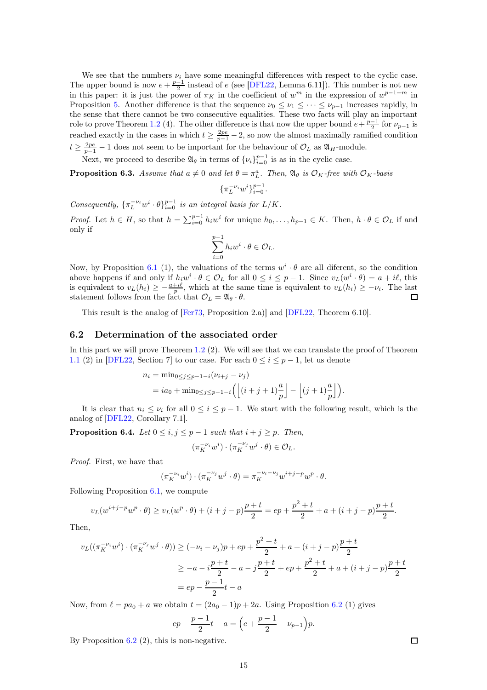We see that the numbers  $\nu_i$  have some meaningful differences with respect to the cyclic case. The upper bound is now  $e + \frac{p-1}{2}$  instead of e (see [DFL22, Lemma 6.11]). This number is not new in this paper: it is just the power of  $\pi_K$  in the coefficient of  $w^m$  in the expression of  $w^{p-1+m}$  in Proposition [5.](#page-8-0) Another difference is that the sequence  $\nu_0 \leq \nu_1 \leq \cdots \leq \nu_{p-1}$  increases rapidly, in the sense that there cannot be two consecutive equalities. These two facts will play an important role to prove Theorem [1.2](#page-1-0) (4). The other difference is that now the upper bound  $e + \frac{p-1}{2}$  for  $\nu_{p-1}$  is reached exactly in the cases in which  $t \geq \frac{2pe}{p-1} - 2$ , so now the almost maximally ramified condition  $t \geq \frac{2pe}{p-1} - 1$  does not seem to be important for the behaviour of  $\mathcal{O}_L$  as  $\mathfrak{A}_H$ -module.

Next, we proceed to describe  $\mathfrak{A}_{\theta}$  in terms of  $\{\nu_i\}_{i=0}^{p-1}$  is as in the cyclic case.

<span id="page-14-1"></span>**Proposition 6.3.** Assume that  $a \neq 0$  and let  $\theta = \pi_L^a$ . Then,  $\mathfrak{A}_{\theta}$  is  $\mathcal{O}_K$ -free with  $\mathcal{O}_K$ -basis

$$
\{\pi_L^{-\nu_i}w^i\}_{i=0}^{p-1}.
$$

Consequently,  ${\lbrace \pi_L^{-\nu_i}w^i \cdot \theta \rbrace_{i=0}^{p-1}}$  is an integral basis for  $L/K$ .

*Proof.* Let  $h \in H$ , so that  $h = \sum_{i=0}^{p-1} h_i w^i$  for unique  $h_0, \ldots, h_{p-1} \in K$ . Then,  $h \cdot \theta \in \mathcal{O}_L$  if and only if

$$
\sum_{i=0}^{p-1} h_i w^i \cdot \theta \in \mathcal{O}_L.
$$

Now, by Proposition [6.1](#page-12-1) (1), the valuations of the terms  $w^i \cdot \theta$  are all diferent, so the condition above happens if and only if  $h_i w^i \cdot \theta \in \mathcal{O}_L$  for all  $0 \leq i \leq p-1$ . Since  $v_L(w^i \cdot \theta) = a + i\ell$ , this is equivalent to  $v_L(h_i) \geq -\frac{a+i\ell}{p}$ , which at the same time is equivalent to  $v_L(h_i) \geq -\nu_i$ . The last statement follows from the fact that  $\mathcal{O}_L = \mathfrak{A}_{\theta} \cdot \theta$ .

This result is the analog of [Fer73, Proposition 2.a)] and [DFL22, Theorem 6.10].

#### 6.2 Determination of the associated order

In this part we will prove Theorem [1.2](#page-1-0) (2). We will see that we can translate the proof of Theorem [1.1](#page-0-0) (2) in [DFL22, Section 7] to our case. For each  $0 \le i \le p-1$ , let us denote

$$
n_i = \min_{0 \le j \le p-1-i} (\nu_{i+j} - \nu_j)
$$
  
=  $i a_0 + \min_{0 \le j \le p-1-i} \left( \left\lfloor (i+j+1) \frac{a}{p} \right\rfloor - \left\lfloor (j+1) \frac{a}{p} \right\rfloor \right).$ 

It is clear that  $n_i \leq \nu_i$  for all  $0 \leq i \leq p-1$ . We start with the following result, which is the analog of [DFL22, Corollary 7.1].

<span id="page-14-0"></span>**Proposition 6.4.** Let  $0 \le i, j \le p-1$  such that  $i + j \ge p$ . Then,

$$
(\pi_K^{-\nu_i}w^i)\cdot (\pi_K^{-\nu_j}w^j\cdot \theta)\in \mathcal{O}_L.
$$

Proof. First, we have that

$$
(\pi_K^{-\nu_i} w^i) \cdot (\pi_K^{-\nu_j} w^j \cdot \theta) = \pi_K^{-\nu_i - \nu_j} w^{i+j-p} w^p \cdot \theta.
$$

Following Proposition [6.1,](#page-12-1) we compute

$$
v_L(w^{i+j-p}w^p \cdot \theta) \ge v_L(w^p \cdot \theta) + (i+j-p)\frac{p+t}{2} = ep + \frac{p^2+t}{2} + a + (i+j-p)\frac{p+t}{2}.
$$

Then,

 $\overline{\mathfrak{c}}$ 

$$
v_L((\pi_K^{-\nu_i}w^i)\cdot(\pi_K^{-\nu_j}w^j\cdot\theta)) \geq (-\nu_i-\nu_j)p+ep+\frac{p^2+t}{2}+a+(i+j-p)\frac{p+t}{2}
$$
  

$$
\geq -a-i\frac{p+t}{2}-a-j\frac{p+t}{2}+ep+\frac{p^2+t}{2}+a+(i+j-p)\frac{p+t}{2}
$$
  

$$
=ep-\frac{p-1}{2}t-a
$$

Now, from  $\ell = pa_0 + a$  we obtain  $t = (2a_0 - 1)p + 2a$ . Using Proposition 6.2 (1) gives

$$
ep-\frac{p-1}{2}t-a=\Big(e+\frac{p-1}{2}-\nu_{p-1}\Big)p.
$$

By Proposition  $6.2$  (2), this is non-negative.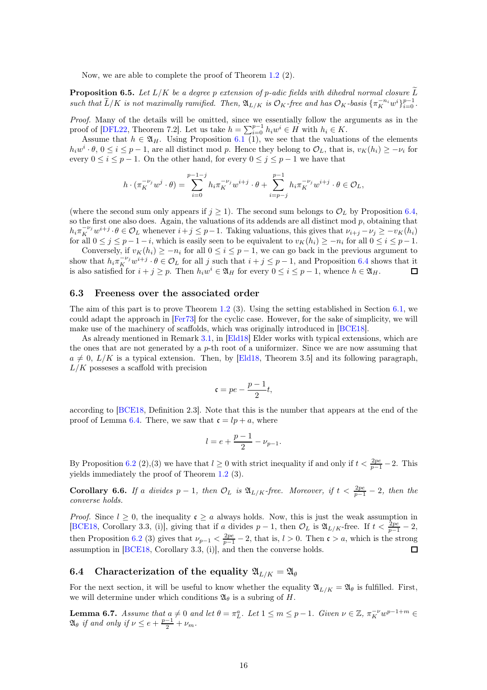Now, we are able to complete the proof of Theorem [1.2](#page-1-0) (2).

<span id="page-15-1"></span>**Proposition 6.5.** Let  $L/K$  be a degree p extension of p-adic fields with dihedral normal closure  $\widetilde{L}$ such that  $\widetilde{L}/K$  is not maximally ramified. Then,  $\mathfrak{A}_{L/K}$  is  $\mathcal{O}_K$ -free and has  $\mathcal{O}_K$ -basis  $\{\pi_K^{-n_i}w^i\}_{i=0}^{p-1}$ .

Proof. Many of the details will be omitted, since we essentially follow the arguments as in the proof of [DFL22, Theorem 7.2]. Let us take  $h = \sum_{i=0}^{p-1} h_i w^i \in H$  with  $h_i \in K$ .

Assume that  $h \in \mathfrak{A}_H$ . Using Proposition [6.1](#page-12-1) (1), we see that the valuations of the elements  $h_iw^i \cdot \theta$ ,  $0 \le i \le p-1$ , are all distinct mod p. Hence they belong to  $\mathcal{O}_L$ , that is,  $v_K(h_i) \ge -\nu_i$  for every  $0 \le i \le p-1$ . On the other hand, for every  $0 \le j \le p-1$  we have that

$$
h \cdot (\pi_K^{-\nu_j} w^j \cdot \theta) = \sum_{i=0}^{p-1-j} h_i \pi_K^{-\nu_j} w^{i+j} \cdot \theta + \sum_{i=p-j}^{p-1} h_i \pi_K^{-\nu_j} w^{i+j} \cdot \theta \in \mathcal{O}_L,
$$

(where the second sum only appears if  $j \geq 1$ ). The second sum belongs to  $\mathcal{O}_L$  by Proposition [6.4,](#page-14-0) so the first one also does. Again, the valuations of its addends are all distinct mod  $p$ , obtaining that  $h_i \pi_K^{-\nu_j} w^{i+j} \cdot \theta \in \mathcal{O}_L$  whenever  $i+j \leq p-1$ . Taking valuations, this gives that  $\nu_{i+j} - \nu_j \geq -v_K(h_i)$ for all  $0 \le j \le p-1-i$ , which is easily seen to be equivalent to  $v_K(h_i) \ge -n_i$  for all  $0 \le i \le p-1$ .

Conversely, if  $v_K(h_i) \geq -n_i$  for all  $0 \leq i \leq p-1$ , we can go back in the previous argument to show that  $h_i \pi_K^{-\nu_j} w^{i+j} \cdot \theta \in \mathcal{O}_L$  for all j such that  $i + j \leq p - 1$ , and Proposition [6.4](#page-14-0) shows that it is also satisfied for  $i + j \geq p$ . Then  $h_i w^i \in \mathfrak{A}_H$  for every  $0 \leq i \leq p-1$ , whence  $h \in \mathfrak{A}_H$ .  $\Box$ 

#### 6.3 Freeness over the associated order

The aim of this part is to prove Theorem [1.2](#page-1-0) (3). Using the setting established in Section [6.1,](#page-12-2) we could adapt the approach in [Fer73] for the cyclic case. However, for the sake of simplicity, we will make use of the machinery of scaffolds, which was originally introduced in [BCE18].

As already mentioned in Remark [3.1,](#page-6-3) in [Eld18] Elder works with typical extensions, which are the ones that are not generated by a  $p$ -th root of a uniformizer. Since we are now assuming that  $a \neq 0$ ,  $L/K$  is a typical extension. Then, by [Eld18, Theorem 3.5] and its following paragraph,  $L/K$  posseses a scaffold with precision

$$
c = pe - \frac{p-1}{2}t,
$$

according to [BCE18, Definition 2.3]. Note that this is the number that appears at the end of the proof of Lemma [6.4.](#page-14-0) There, we saw that  $\mathfrak{c} = lp + a$ , where

$$
l = e + \frac{p-1}{2} - \nu_{p-1}.
$$

By Proposition 6.2 (2),(3) we have that  $l \geq 0$  with strict inequality if and only if  $t < \frac{2pe}{p-1} - 2$ . This yields immediately the proof of Theorem [1.2](#page-1-0) (3).

**Corollary 6.6.** If a divides  $p-1$ , then  $\mathcal{O}_L$  is  $\mathfrak{A}_{L/K}$ -free. Moreover, if  $t < \frac{2pe}{p-1} - 2$ , then the converse holds.

*Proof.* Since  $l \geq 0$ , the inequality  $c \geq a$  always holds. Now, this is just the weak assumption in [BCE18, Corollary 3.3, (i)], giving that if a divides  $p-1$ , then  $\mathcal{O}_L$  is  $\mathfrak{A}_{L/K}$ -free. If  $t < \frac{2pe}{p-1} - 2$ , then Proposition 6.2 (3) gives that  $\nu_{p-1} < \frac{2pe}{p-1} - 2$ , that is,  $l > 0$ . Then  $\mathfrak{c} > a$ , which is the strong assumption in [BCE18, Corollary 3.3, (i)], and then the converse holds.  $\Box$ 

### 6.4 Characterization of the equality  $\mathfrak{A}_{L/K} = \mathfrak{A}_{\theta}$

For the next section, it will be useful to know whether the equality  $\mathfrak{A}_{L/K} = \mathfrak{A}_{\theta}$  is fulfilled. First, we will determine under which conditions  $\mathfrak{A}_{\theta}$  is a subring of H.

<span id="page-15-0"></span>**Lemma 6.7.** Assume that  $a \neq 0$  and let  $\theta = \pi_L^a$ . Let  $1 \leq m \leq p-1$ . Given  $\nu \in \mathbb{Z}$ ,  $\pi_K^{-\nu} w^{p-1+m} \in$  $\mathfrak{A}_{\theta}$  if and only if  $\nu \leq e + \frac{p-1}{2} + \nu_m$ .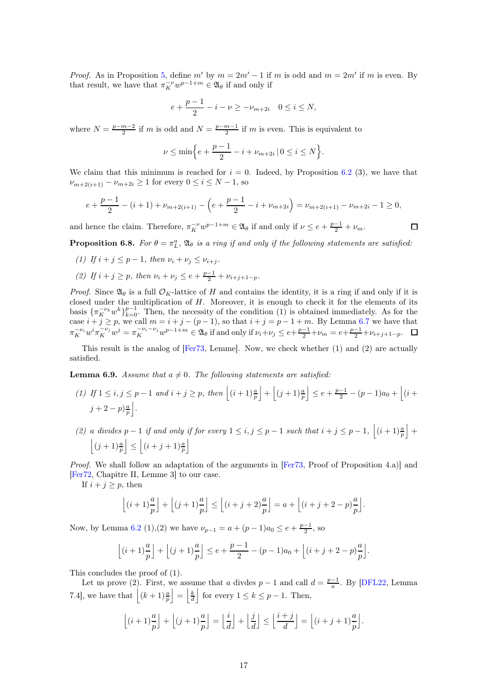*Proof.* As in Proposition [5,](#page-8-0) define m' by  $m = 2m' - 1$  if m is odd and  $m = 2m'$  if m is even. By that result, we have that  $\pi_K^{-\nu} w^{p-1+m} \in \mathfrak{A}_{\theta}$  if and only if

$$
e + \frac{p-1}{2} - i - \nu \ge -\nu_{m+2i} \quad 0 \le i \le N,
$$

where  $N = \frac{p-m-2}{2}$  if m is odd and  $N = \frac{p-m-1}{2}$  if m is even. This is equivalent to

$$
\nu\leq \min\Bigl\{e+\frac{p-1}{2}-i+\nu_{m+2i}\,|\,0\leq i\leq N\Bigr\}.
$$

We claim that this minimum is reached for  $i = 0$ . Indeed, by Proposition 6.2 (3), we have that  $\nu_{m+2(i+1)} - \nu_{m+2i} \ge 1$  for every  $0 \le i \le N-1$ , so

$$
e + \frac{p-1}{2} - (i+1) + \nu_{m+2(i+1)} - \left(e + \frac{p-1}{2} - i + \nu_{m+2i}\right) = \nu_{m+2(i+1)} - \nu_{m+2i} - 1 \ge 0,
$$

and hence the claim. Therefore,  $\pi_K^{-\nu} w^{p-1+m} \in \mathfrak{A}_{\theta}$  if and only if  $\nu \leq e + \frac{p-1}{2} + \nu_m$ .

<span id="page-16-0"></span>**Proposition 6.8.** For  $\theta = \pi_L^a$ ,  $\mathfrak{A}_{\theta}$  is a ring if and only if the following statements are satisfied:

(1) If 
$$
i + j \leq p - 1
$$
, then  $\nu_i + \nu_j \leq \nu_{i+j}$ .

(2) If  $i + j \ge p$ , then  $\nu_i + \nu_j \le e + \frac{p-1}{2} + \nu_{i+j+1-p}$ .

*Proof.* Since  $\mathfrak{A}_{\theta}$  is a full  $\mathcal{O}_K$ -lattice of H and contains the identity, it is a ring if and only if it is closed under the multiplication of  $H$ . Moreover, it is enough to check it for the elements of its basis  ${\{\pi_K^{-\nu_k}w^k\}}_{k=0}^{p-1}$ . Then, the necessity of the condition (1) is obtained immediately. As for the case  $i + j \geq p$ , we call  $m = i + j - (p - 1)$ , so that  $i + j = p - 1 + m$ . By Lemma [6.7](#page-15-0) we have that  $\pi_K^{-\nu_i} w^i \pi_K^{-\nu_j} w^j = \pi_K^{-\nu_i - \nu_j} w^{p-1+m} \in \mathfrak{A}_{\theta}$  if and only if  $\nu_i + \nu_j \leq e + \frac{p-1}{2} + \nu_m = e + \frac{p-1}{2} + \nu_{i+j+1-p}$ .

This result is the analog of [Fer73, Lemme]. Now, we check whether (1) and (2) are actually satisfied.

<span id="page-16-1"></span>**Lemma 6.9.** Assume that  $a \neq 0$ . The following statements are satisfied:

- (1) If  $1 \leq i, j \leq p-1$  and  $i+j \geq p$ , then  $|(i+1)\frac{a}{p}$  $\Big| + \Big| (j+1) \frac{a}{p}$  $\Big| \leq e + \frac{p-1}{2} - (p-1)a_0 + \Big| (i +$  $j+2-p)\frac{a}{p}$ k .
- (2) a divides  $p-1$  if and only if for every  $1 \leq i, j \leq p-1$  such that  $i + j \leq p-1$ ,  $\Big| (i + 1)^{\frac{a}{p}}$  $| +$  $\left| (j+1)\frac{a}{p}\right|$  $\vert \leq \vert (i + j + 1) \frac{a}{p}$  $\overline{\phantom{a}}$

Proof. We shall follow an adaptation of the arguments in [Fer73, Proof of Proposition 4.a)] and [Fer72, Chapitre II, Lemme 3] to our case.

If  $i + j \geq p$ , then

$$
\left\lfloor (i+1)\frac{a}{p} \right\rfloor + \left\lfloor (j+1)\frac{a}{p} \right\rfloor \le \left\lfloor (i+j+2)\frac{a}{p} \right\rfloor = a + \left\lfloor (i+j+2-p)\frac{a}{p} \right\rfloor.
$$

Now, by Lemma 6.2 (1),(2) we have  $\nu_{p-1} = a + (p-1)a_0 \le e + \frac{p-1}{2}$ , so

$$
\left\lfloor (i+1)\frac{a}{p} \right\rfloor + \left\lfloor (j+1)\frac{a}{p} \right\rfloor \le e + \frac{p-1}{2} - (p-1)a_0 + \left\lfloor (i+j+2-p)\frac{a}{p} \right\rfloor.
$$

This concludes the proof of (1).

Let us prove (2). First, we assume that a divdes  $p-1$  and call  $d = \frac{p-1}{a}$ . By [DFL22, Lemma 7.4], we have that  $\left| (k+1)^{\frac{a}{p}} \right|$  $\Big| = \Big| \frac{k}{d}$ for every  $1 \leq k \leq p-1$ . Then,

$$
\left\lfloor (i+1)\frac{a}{p} \right\rfloor + \left\lfloor (j+1)\frac{a}{p} \right\rfloor = \left\lfloor \frac{i}{d} \right\rfloor + \left\lfloor \frac{j}{d} \right\rfloor \le \left\lfloor \frac{i+j}{d} \right\rfloor = \left\lfloor (i+j+1)\frac{a}{p} \right\rfloor.
$$

 $\Box$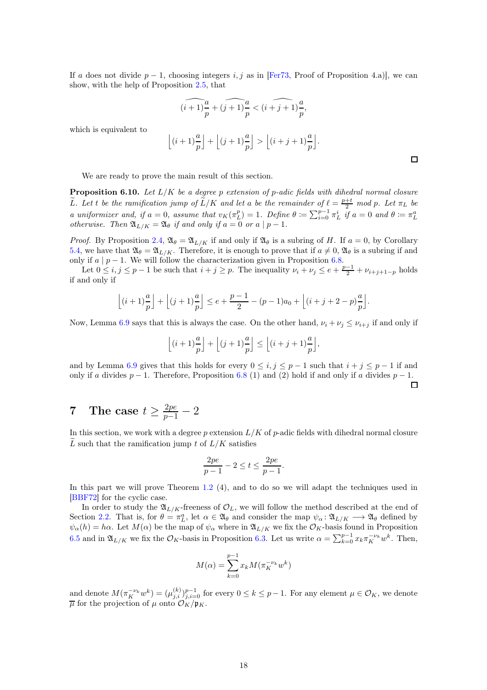If a does not divide  $p-1$ , choosing integers i, j as in [Fer73, Proof of Proposition 4.a)], we can show, with the help of Proposition [2.5,](#page-5-1) that

$$
\widehat{(i+1)\frac{a}{p}} + \widehat{(j+1)\frac{a}{p}} < \widehat{(i+j+1)\frac{a}{p}},
$$

which is equivalent to

$$
\left\lfloor (i+1)\frac{a}{p} \right\rfloor + \left\lfloor (j+1)\frac{a}{p} \right\rfloor > \left\lfloor (i+j+1)\frac{a}{p} \right\rfloor.
$$

We are ready to prove the main result of this section.

<span id="page-17-1"></span>**Proposition 6.10.** Let  $L/K$  be a degree p extension of p-adic fields with dihedral normal closure Let the the ramification jump of  $\tilde{L}/K$  and let a be the remainder of  $\ell = \frac{p+t}{2}$  mod p. Let  $\pi_L$  be a uniformizer and, if  $a = 0$ , assume that  $v_K(\pi_L^p) = 1$ . Define  $\theta := \sum_{i=0}^{p-1} \pi_L^i$  if  $a = 0$  and  $\theta := \pi_L^a$ otherwise. Then  $\mathfrak{A}_{L/K} = \mathfrak{A}_{\theta}$  if and only if  $a = 0$  or  $a \mid p-1$ .

*Proof.* By Proposition [2.4,](#page-4-0)  $\mathfrak{A}_{\theta} = \mathfrak{A}_{L/K}$  if and only if  $\mathfrak{A}_{\theta}$  is a subring of H. If  $a = 0$ , by Corollary [5.4,](#page-11-2) we have that  $\mathfrak{A}_{\theta} = \mathfrak{A}_{L/K}$ . Therefore, it is enough to prove that if  $a \neq 0$ ,  $\mathfrak{A}_{\theta}$  is a subring if and only if  $a \mid p-1$ . We will follow the characterization given in Proposition [6.8.](#page-16-0)

Let  $0 \le i, j \le p-1$  be such that  $i + j \ge p$ . The inequality  $\nu_i + \nu_j \le e + \frac{p-1}{2} + \nu_{i+j+1-p}$  holds if and only if

$$
\left\lfloor (i+1)\frac{a}{p} \right\rfloor + \left\lfloor (j+1)\frac{a}{p} \right\rfloor \le e + \frac{p-1}{2} - (p-1)a_0 + \left\lfloor (i+j+2-p)\frac{a}{p} \right\rfloor.
$$

Now, Lemma [6.9](#page-16-1) says that this is always the case. On the other hand,  $\nu_i + \nu_j \leq \nu_{i+j}$  if and only if

$$
\left\lfloor (i+1)\frac{a}{p} \right\rfloor + \left\lfloor (j+1)\frac{a}{p} \right\rfloor \le \left\lfloor (i+j+1)\frac{a}{p} \right\rfloor,
$$

and by Lemma [6.9](#page-16-1) gives that this holds for every  $0 \le i, j \le p-1$  such that  $i + j \le p - 1$  if and only if a divides  $p-1$ . Therefore, Proposition [6.8](#page-16-0) (1) and (2) hold if and only if a divides  $p-1$ .  $\Box$ 

# <span id="page-17-0"></span>7 The case  $t \geq \frac{2pe}{p-1} - 2$

In this section, we work with a degree p extension  $L/K$  of p-adic fields with dihedral normal closure L such that the ramification jump t of  $L/K$  satisfies

$$
\frac{2pe}{p-1} - 2 \le t \le \frac{2pe}{p-1}.
$$

In this part we will prove Theorem [1.2](#page-1-0) (4), and to do so we will adapt the techniques used in [BBF72] for the cyclic case.

In order to study the  $\mathfrak{A}_{L/K}$ -freeness of  $\mathcal{O}_L$ , we will follow the method described at the end of Section [2.2.](#page-3-2) That is, for  $\theta = \pi_L^a$ , let  $\alpha \in \mathfrak{A}_{\theta}$  and consider the map  $\psi_{\alpha} : \mathfrak{A}_{L/K} \longrightarrow \mathfrak{A}_{\theta}$  defined by  $\psi_{\alpha}(h) = h\alpha$ . Let  $M(\alpha)$  be the map of  $\psi_{\alpha}$  where in  $\mathfrak{A}_{L/K}$  we fix the  $\mathcal{O}_K$ -basis found in Proposition [6.5](#page-15-1) and in  $\mathfrak{A}_{L/K}$  we fix the  $\mathcal{O}_K$ -basis in Proposition [6.3.](#page-14-1) Let us write  $\alpha = \sum_{k=0}^{p-1} x_k \pi_K^{-\nu_k} w^k$ . Then,

$$
M(\alpha) = \sum_{k=0}^{p-1} x_k M(\pi_K^{-\nu_k} w^k)
$$

and denote  $M(\pi_K^{-\nu_k}w^k) = (\mu_{j,i}^{(k)})_{j,i=0}^{p-1}$  for every  $0 \le k \le p-1$ . For any element  $\mu \in \mathcal{O}_K$ , we denote  $\overline{\mu}$  for the projection of  $\mu$  onto  $\mathcal{O}_K/\mathfrak{p}_K$ .

 $\Box$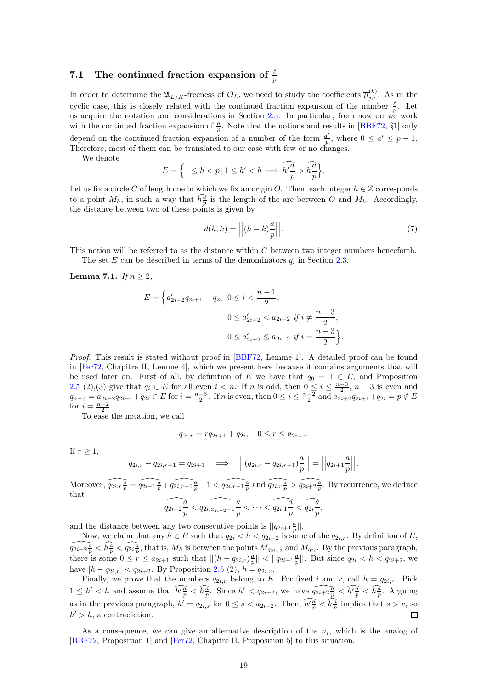## 7.1 The continued fraction expansion of  $\frac{\ell}{p}$

In order to determine the  $\mathfrak{A}_{L/K}$ -freeness of  $\mathcal{O}_L$ , we need to study the coefficients  $\overline{\mu}_{j,i}^{(k)}$ . As in the cyclic case, this is closely related with the continued fraction expansion of the number  $\frac{\ell}{p}$ . Let us acquire the notation and considerations in Section  $2.3$ . In particular, from now on we work with the continued fraction expansion of  $\frac{a}{p}$ . Note that the notions and results in [BBF72, §1] only depend on the continued fraction expansion of a number of the form  $\frac{a'}{n}$  $\frac{a'}{p}$ , where  $0 \leq a' \leq p-1$ . Therefore, most of them can be translated to our case with few or no changes.

We denote

$$
E = \left\{1 \le h < p \mid 1 \le h' < h \implies \widehat{h' \frac{a}{p}} > \widehat{h \frac{a}{p}}\right\}.
$$

Let us fix a circle C of length one in which we fix an origin O. Then, each integer  $h \in \mathbb{Z}$  corresponds to a point  $M_h$ , in such a way that  $\hat{h}^{\tilde{a}}_{p}$  is the length of the arc between O and  $M_h$ . Accordingly, the distance between two of these points is given by

<span id="page-18-1"></span>
$$
d(h,k) = \left| \left| (h-k) \frac{a}{p} \right| \right|.
$$
 (7)

This notion will be referred to as the distance within C between two integer numbers henceforth.

The set E can be described in terms of the denominators  $q_i$  in Section [2.3.](#page-5-0)

<span id="page-18-0"></span>**Lemma 7.1.** If  $n > 2$ ,

$$
E = \left\{ a'_{2i+2}q_{2i+1} + q_{2i} \mid 0 \le i < \frac{n-1}{2}, \right\}
$$
\n
$$
0 \le a'_{2i+2} < a_{2i+2} \text{ if } i \ne \frac{n-3}{2},
$$
\n
$$
0 \le a'_{2i+2} \le a_{2i+2} \text{ if } i = \frac{n-3}{2} \right\}.
$$

Proof. This result is stated without proof in [BBF72, Lemme 1]. A detailed proof can be found in [Fer72, Chapitre II, Lemme 4], which we present here because it contains arguments that will be used later on. First of all, by definition of E we have that  $q_0 = 1 \in E$ , and Proposition [2.5](#page-5-1) (2),(3) give that  $q_i \in E$  for all even  $i < n$ . If n is odd, then  $0 \leq i \leq \frac{n-3}{2}$ ,  $n-3$  is even and  $q_{n-3} = a_{2i+2}q_{2i+1} + q_{2i} \in E$  for  $i = \frac{n-3}{2}$ . If n is even, then  $0 \le i \le \frac{n-2}{2}$  and  $a_{2i+2}q_{2i+1} + q_{2i} = p \notin E$ for  $i = \frac{n-2}{2}$ .

To ease the notation, we call

$$
q_{2i,r} = r q_{2i+1} + q_{2i}, \quad 0 \le r \le a_{2i+1}.
$$

If  $r \geq 1$ ,

$$
q_{2i,r} - q_{2i,r-1} = q_{2i+1} \quad \Longrightarrow \quad \left| \left| (q_{2i,r} - q_{2i,r-1}) \frac{a}{p} \right| \right| = \left| \left| q_{2i+1} \frac{a}{p} \right| \right|.
$$

Moreover,  $\widehat{q_{2i,r}}\frac{a}{p} = \widehat{q_{2i+1}}\frac{a}{p} + \widehat{q_{2i,r-1}}\frac{a}{p} - 1 < \widehat{q_{2i,r-1}}\frac{a}{p}$  and  $\widehat{q_{2i,r}}\frac{a}{p} > \widehat{q_{2i+2}}\frac{a}{p}$ . By recurrence, we deduce that  $\widehat{q_{2i+2}}$  $\frac{\overline{a}}{p} < \widehat{q_{2i,a_{2i+2}-1}} \frac{a}{p}$  $\frac{a}{p}<\cdots<\widehat{q_{2i,1}\frac{a}{p}}$  $\frac{\widetilde{a}}{p} < \widehat{{q_{2i}}}\frac{\widetilde{a}}{p}$  $\frac{1}{p}$ ,

$$
P \qquad P \qquad P
$$

and the distance between any two consecutive points is  $||q_{2i+1}\frac{a}{p}||$ .

Now, we claim that any  $h \in E$  such that  $q_{2i} < h < q_{2i+2}$  is some of the  $q_{2i,r}$ . By definition of E,  $\widehat{q_{2i+2\frac{a}{p}}} < \widehat{h^a_p} < \widehat{q_{2i\frac{a}{p}}}$ , that is,  $M_h$  is between the points  $M_{q_{2i+2}}$  and  $M_{q_{2i}}$ . By the previous paragraph, there is some  $0 \leq r \leq a_{2i+1}$  such that  $||(h - q_{2i,r})\frac{a}{p}|| < ||q_{2i+1}\frac{a}{p}||$ . But since  $q_{2i} < h < q_{2i+2}$ , we have  $|h - q_{2i,r}| < q_{2i+2}$ . By Proposition [2.5](#page-5-1) (2),  $h = q_{2i,r}$ .

Finally, we prove that the numbers  $q_{2i,r}$  belong to E. For fixed i and r, call  $h = q_{2i,r}$ . Pick  $1 \leq h' < h$  and assume that  $\widehat{h'_{\overline{p}}} < \widehat{h_{\overline{p}}}^{\underline{a}}$ . Since  $h' < q_{2i+2}$ , we have  $\widehat{q_{2i+2\overline{p}}} < \widehat{h'^{\underline{a}}_{\overline{p}}} < \widehat{h'^{\underline{a}}_{\overline{p}}}$ . Arguing as in the previous paragraph,  $h' = q_{2i,s}$  for  $0 \le s < a_{2i+2}$ . Then,  $\widehat{h' \frac{a}{p}} < \widehat{h \frac{a}{p}}$  implies that  $s > r$ , so  $h' > h$ , a contradiction.

As a consequence, we can give an alternative description of the  $n_i$ , which is the analog of [BBF72, Proposition 1] and [Fer72, Chapitre II, Proposition 5] to this situation.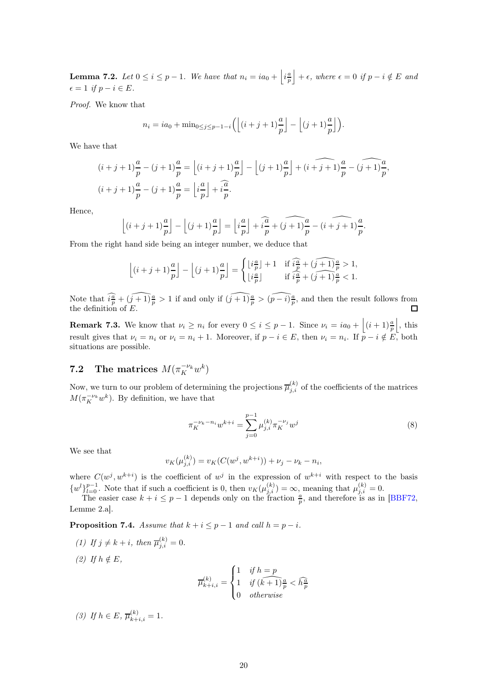<span id="page-19-0"></span>**Lemma 7.2.** Let  $0 \leq i \leq p-1$ . We have that  $n_i = ia_0 + \left| i \frac{a}{p} \right|$  $+ \epsilon$ , where  $\epsilon = 0$  if  $p - i \notin E$  and  $\epsilon = 1$  if  $p - i \in E$ .

Proof. We know that

$$
n_i = ia_0 + \min_{0 \le j \le p-1-i} \left( \left\lfloor (i+j+1)\frac{a}{p} \right\rfloor - \left\lfloor (j+1)\frac{a}{p} \right\rfloor \right).
$$

We have that

$$
(i+j+1)\frac{a}{p} - (j+1)\frac{a}{p} = \left\lfloor (i+j+1)\frac{a}{p} \right\rfloor - \left\lfloor (j+1)\frac{a}{p} \right\rfloor + (i+j+1)\frac{a}{p} - (j+1)\frac{a}{p},
$$
  

$$
(i+j+1)\frac{a}{p} - (j+1)\frac{a}{p} = \left\lfloor i\frac{a}{p} \right\rfloor + i\frac{\widehat{a}}{p}.
$$

Hence,

$$
\left\lfloor (i+j+1)\frac{a}{p} \right\rfloor - \left\lfloor (j+1)\frac{a}{p} \right\rfloor = \left\lfloor i\frac{a}{p} \right\rfloor + i\frac{\widehat{a}}{p} + \widehat{(j+1)}\frac{a}{p} - (i+j+1)\frac{a}{p}.
$$

From the right hand side being an integer number, we deduce that

$$
\left\lfloor (i+j+1)\frac{a}{p}\right\rfloor - \left\lfloor (j+1)\frac{a}{p}\right\rfloor = \begin{cases} \left\lfloor i\frac{a}{p}\right\rfloor + 1 & \text{if } \widehat{i\frac{a}{p}} + \widehat{(j+1)\frac{a}{p}} > 1, \\ \left\lfloor i\frac{a}{p}\right\rfloor & \text{if } \widehat{i\frac{a}{p}} + \widehat{(j+1)\frac{a}{p}} < 1. \end{cases}
$$

Note that  $\widehat{i\frac{a}{p}} + \widehat{(j+1)}\frac{a}{p} > 1$  if and only if  $\widehat{(j+1)}\frac{a}{p} > \widehat{(p-i)}\frac{a}{p}$ , and then the result follows from the definition of  $E$ .

**Remark 7.3.** We know that  $\nu_i \geq n_i$  for every  $0 \leq i \leq p-1$ . Since  $\nu_i = ia_0 + \left| (i+1)\frac{a}{p} \right|$ j , this result gives that  $\nu_i = n_i$  or  $\nu_i = n_i + 1$ . Moreover, if  $p - i \in E$ , then  $\nu_i = n_i$ . If  $p - i \notin E$ , both situations are possible.

## **7.2** The matrices  $M(\pi_K^{-\nu_k}w^k)$

Now, we turn to our problem of determining the projections  $\overline{\mu}_{j,i}^{(k)}$  of the coefficients of the matrices  $M(\pi_K^{-\nu_k}w^k)$ . By definition, we have that

<span id="page-19-1"></span>
$$
\pi_K^{-\nu_k - n_i} w^{k+i} = \sum_{j=0}^{p-1} \mu_{j,i}^{(k)} \pi_K^{-\nu_j} w^j
$$
\n(8)

We see that

$$
v_K(\mu_{j,i}^{(k)}) = v_K(C(w^j, w^{k+i})) + \nu_j - \nu_k - n_i,
$$

where  $C(w^j, w^{k+i})$  is the coefficient of  $w^j$  in the expression of  $w^{k+i}$  with respect to the basis  $\{w^l\}_{l=0}^{p-1}$ . Note that if such a coefficient is 0, then  $v_K(\mu_{j,i}^{(k)}) = \infty$ , meaning that  $\mu_{j,i}^{(k)} = 0$ .

The easier case  $k + i \leq p - 1$  depends only on the fraction  $\frac{a}{p}$ , and therefore is as in [BBF72, Lemme 2.a].

<span id="page-19-2"></span>**Proposition 7.4.** Assume that  $k + i \leq p - 1$  and call  $h = p - i$ .

(1) If  $j \neq k+i$ , then  $\overline{\mu}_{j,i}^{(k)} = 0$ . (2) If  $h \notin E$ ,

$$
\overline{\mu}_{k+i,i}^{(k)} = \begin{cases} 1 & \text{if } h = p \\ 1 & \text{if } (k+1) \frac{a}{p} < \widehat{h}_{p}^{\frac{a}{p}} \\ 0 & otherwise \end{cases}
$$

(3) If  $h \in E$ ,  $\overline{\mu}_{k+i,i}^{(k)} = 1$ .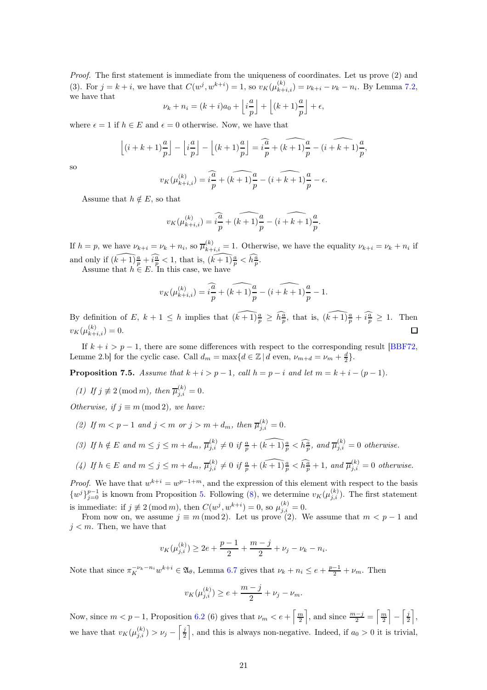Proof. The first statement is immediate from the uniqueness of coordinates. Let us prove (2) and (3). For  $j = k + i$ , we have that  $C(w^j, w^{k+i}) = 1$ , so  $v_K(\mu_{k+i,i}^{(k)}) = \nu_{k+i} - \nu_k - n_i$ . By Lemma [7.2,](#page-19-0) we have that

$$
\nu_k + n_i = (k+i)a_0 + \left\lfloor i\frac{a}{p} \right\rfloor + \left\lfloor (k+1)\frac{a}{p} \right\rfloor + \epsilon,
$$

where  $\epsilon = 1$  if  $h \in E$  and  $\epsilon = 0$  otherwise. Now, we have that

$$
\left\lfloor (i+k+1)\frac{a}{p} \right\rfloor - \left\lfloor i\frac{a}{p} \right\rfloor - \left\lfloor (k+1)\frac{a}{p} \right\rfloor = i\frac{\widehat{a}}{p} + \widehat{(k+1)}\frac{a}{p} - \widehat{(k+1)}\frac{a}{p},
$$

so

$$
v_K(\mu_{k+i,i}^{(k)}) = \widehat{i\frac{a}{p}} + \widehat{(k+1)}\frac{a}{p} - \widehat{(k+k+1)}\frac{a}{p} - \epsilon.
$$

Assume that  $h \notin E$ , so that

$$
v_K(\mu_{k+i,i}^{(k)}) = \widehat{i\frac{a}{p}} + \widehat{(k+1)}\frac{a}{p} - \widehat{(i+k+1)}\frac{a}{p}.
$$

If  $h = p$ , we have  $\nu_{k+i} = \nu_k + n_i$ , so  $\overline{\mu}_{k+i,i}^{(k)} = 1$ . Otherwise, we have the equality  $\nu_{k+i} = \nu_k + n_i$  if and only if  $(\widehat{k+1})\frac{a}{p} + \widehat{i\frac{a}{p}} < 1$ , that is,  $(\widehat{k+1})\frac{a}{p} < \widehat{h\frac{a}{p}}$ .

Assume that  $h \in E$ . In this case, we have

$$
v_K(\mu_{k+i,i}^{(k)}) = \widehat{i\frac{a}{p}} + \widehat{(k+1)}\frac{a}{p} - \widehat{(i+k+1)}\frac{a}{p} - 1.
$$

By definition of E,  $k+1 \leq h$  implies that  $(\widehat{k+1})\frac{a}{p} \geq \widehat{h_p^a}$ , that is,  $(\widehat{k+1})\frac{a}{p} + \widehat{i_p^a} \geq 1$ . Then  $v_K(\mu_{k+i,i}^{(k)})=0.$ □

If  $k + i > p - 1$ , there are some differences with respect to the corresponding result [BBF72, Lemme 2.b] for the cyclic case. Call  $d_m = \max\{d \in \mathbb{Z} \mid d \text{ even}, \nu_{m+d} = \nu_m + \frac{d}{2}\}.$ 

<span id="page-20-0"></span>**Proposition 7.5.** Assume that  $k + i > p - 1$ , call  $h = p - i$  and let  $m = k + i - (p - 1)$ .

(1) If  $j \not\equiv 2 \pmod{m}$ , then  $\overline{\mu}_{j,i}^{(k)} = 0$ .

Otherwise, if  $j \equiv m \pmod{2}$ , we have:

- (2) If  $m < p 1$  and  $j < m$  or  $j > m + d_m$ , then  $\overline{\mu}_{j,i}^{(k)} = 0$ .
- (3) If  $h \notin E$  and  $m \leq j \leq m + d_m$ ,  $\overline{\mu}_{j,i}^{(k)} \neq 0$  if  $\frac{a}{p} + (\widehat{k+1})\frac{a}{p} < \widehat{h}_{\overline{p}}^{\widehat{a}}$ , and  $\overline{\mu}_{j,i}^{(k)} = 0$  otherwise.

(4) If 
$$
h \in E
$$
 and  $m \le j \le m + d_m$ ,  $\overline{\mu}_{j,i}^{(k)} \ne 0$  if  $\frac{a}{p} + (\widehat{k+1})\frac{a}{p} < \widehat{h}_{p}^{\widehat{a}} + 1$ , and  $\overline{\mu}_{j,i}^{(k)} = 0$  otherwise.

*Proof.* We have that  $w^{k+i} = w^{p-1+m}$ , and the expression of this element with respect to the basis  $\{w^j\}_{j=0}^{p-1}$  is known from Proposition [5.](#page-8-0) Following [\(8\)](#page-19-1), we determine  $v_K(\mu_{j,i}^{(k)})$ . The first statement is immediate: if  $j \not\equiv 2 \pmod{m}$ , then  $C(w^j, w^{k+i}) = 0$ , so  $\mu_{j,i}^{(k)} = 0$ .

From now on, we assume  $j \equiv m \pmod{2}$ . Let us prove (2). We assume that  $m < p - 1$  and  $j < m$ . Then, we have that

$$
v_K(\mu_{j,i}^{(k)}) \ge 2e + \frac{p-1}{2} + \frac{m-j}{2} + \nu_j - \nu_k - n_i.
$$

Note that since  $\pi_K^{-\nu_k - n_i} w^{k+i} \in \mathfrak{A}_{\theta}$ , Lemma [6.7](#page-15-0) gives that  $\nu_k + n_i \leq e + \frac{p-1}{2} + \nu_m$ . Then

$$
v_K(\mu_{j,i}^{(k)}) \ge e + \frac{m-j}{2} + \nu_j - \nu_m.
$$

Now, since  $m < p - 1$ , Proposition 6.2 (6) gives that  $\nu_m < e + \left[\frac{m}{2}\right]$ ], and since  $\frac{m-j}{2} = \frac{m}{2}$  $\Big] - \Big[\frac{j}{2}$ m , we have that  $v_K(\mu_{j,i}^{(k)}) > \nu_j - \left[\frac{j}{2}\right]$ , and this is always non-negative. Indeed, if  $a_0 > 0$  it is trivial,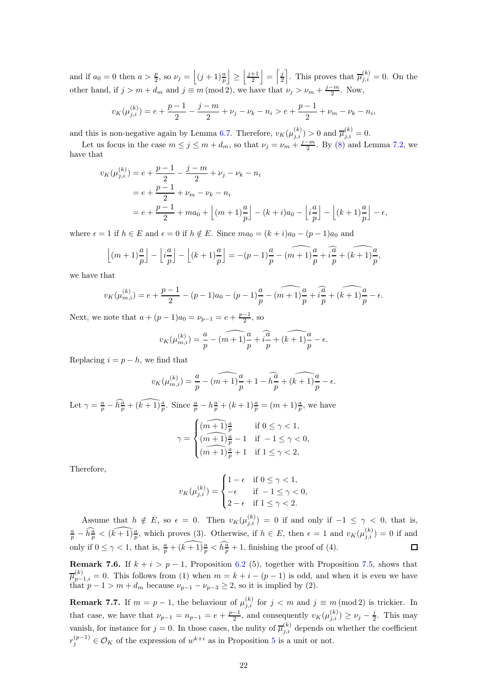and if  $a_0 = 0$  then  $a > \frac{p}{2}$ , so  $\nu_j = \left( (j+1) \frac{a}{p} \right)$  $\left| \geq \right| \frac{j+1}{2}$  $\Big| = \Big[\frac{j}{2}\Big]$ . This proves that  $\overline{\mu}_{j,i}^{(k)} = 0$ . On the other hand, if  $j > m + d_m$  and  $j \equiv m \pmod{2}$ , we have that  $\nu_j > \nu_m + \frac{j-m}{2}$ . Now,

$$
v_K(\mu_{j,i}^{(k)}) = e + \frac{p-1}{2} - \frac{j-m}{2} + \nu_j - \nu_k - n_i > e + \frac{p-1}{2} + \nu_m - \nu_k - n_i,
$$

and this is non-negative again by Lemma [6.7.](#page-15-0) Therefore,  $v_K(\mu_{j,i}^{(k)}) > 0$  and  $\overline{\mu}_{j,i}^{(k)} = 0$ .

Let us focus in the case  $m \le j \le m + d_m$ , so that  $\nu_j = \nu_m + \frac{j-m}{2}$ . By [\(8\)](#page-19-1) and Lemma [7.2,](#page-19-0) we have that

$$
v_K(\mu_{j,i}^{(k)}) = e + \frac{p-1}{2} - \frac{j-m}{2} + \nu_j - \nu_k - n_i
$$
  
=  $e + \frac{p-1}{2} + \nu_m - \nu_k - n_i$   
=  $e + \frac{p-1}{2} + ma_0 + \left[ (m+1)\frac{a}{p} \right] - (k+i)a_0 - \left[ i\frac{a}{p} \right] - \left[ (k+1)\frac{a}{p} \right] - \epsilon,$ 

where  $\epsilon = 1$  if  $h \in E$  and  $\epsilon = 0$  if  $h \notin E$ . Since  $ma_0 = (k + i)a_0 - (p - 1)a_0$  and

$$
\left\lfloor (m+1)\frac{a}{p} \right\rfloor - \left\lfloor i\frac{a}{p} \right\rfloor - \left\lfloor (k+1)\frac{a}{p} \right\rfloor = -(p-1)\frac{a}{p} - (n+1)\frac{a}{p} + i\frac{a}{p} + (k+1)\frac{a}{p},
$$

we have that

$$
v_K(\mu_{m,i}^{(k)}) = e + \frac{p-1}{2} - (p-1)a_0 - (p-1)\frac{a}{p} - \widehat{(m+1)}\frac{a}{p} + \widehat{i\frac{a}{p}} + \widehat{(k+1)}\frac{a}{p} - \epsilon.
$$

Next, we note that  $a + (p - 1)a_0 = \nu_{p-1} = e + \frac{p-1}{2}$ , so

$$
v_K(\mu_{m,i}^{(k)}) = \frac{a}{p} - \widehat{(m+1)}\frac{a}{p} + \widehat{i\frac{a}{p}} + \widehat{(k+1)}\frac{a}{p} - \epsilon.
$$

Replacing  $i = p - h$ , we find that

$$
v_K(\mu_{m,i}^{(k)}) = \frac{a}{p} - \widehat{(m+1)}\frac{a}{p} + 1 - \widehat{h}\frac{a}{p} + \widehat{(k+1)}\frac{a}{p} - \epsilon.
$$

Let  $\gamma = \frac{a}{p} - \widehat{h_p^a} + \widehat{(k+1) p}$ . Since  $\frac{a}{p} - h_p^a + (k+1) p$  =  $(m+1) p$ , we have

$$
\gamma=\begin{cases} \widehat{(m+1)\frac{a}{p}} & \text{ if } 0\leq \gamma<1,\\ \widehat{(m+1)\frac{a}{p}-1} & \text{ if }-1\leq \gamma<0,\\ \widehat{(m+1)\frac{a}{p}+1} & \text{ if } 1\leq \gamma<2, \end{cases}
$$

Therefore,

$$
v_K(\mu_{j,i}^{(k)}) = \begin{cases} 1 - \epsilon & \text{if } 0 \le \gamma < 1, \\ -\epsilon & \text{if } -1 \le \gamma < 0, \\ 2 - \epsilon & \text{if } 1 \le \gamma < 2. \end{cases}
$$

Assume that  $h \notin E$ , so  $\epsilon = 0$ . Then  $v_K(\mu_{j,i}^{(k)}) = 0$  if and only if  $-1 \leq \gamma < 0$ , that is,  $\frac{a}{p} - \widehat{h_p^a} < (\widehat{k+1}) \frac{a}{p}$ , which proves (3). Otherwise, if  $h \in E$ , then  $\epsilon = 1$  and  $v_K(\mu_{j,i}^{(k)}) = 0$  if and only if  $0 \leq \gamma < 1$ , that is,  $\frac{a}{p} + (\widehat{k+1}) \frac{a}{p} < \widehat{h}^{\frac{a}{p}} + 1$ , finishing the proof of (4).  $\Box$ 

**Remark 7.6.** If  $k + i > p - 1$ , Proposition 6.2 (5), together with Proposition [7.5,](#page-20-0) shows that  $\overline{\mu}_{p-1,i}^{(k)} = 0$ . This follows from (1) when  $m = k + i - (p - 1)$  is odd, and when it is even we have that  $p-1 > m+d_m$  because  $\nu_{p-1} - \nu_{p-3} \geq 2$ , so it is implied by (2).

**Remark 7.7.** If  $m = p - 1$ , the behaviour of  $\mu_{j,i}^{(k)}$  for  $j < m$  and  $j \equiv m \pmod{2}$  is trickier. In that case, we have that  $\nu_{p-1} = n_{p-1} = e + \frac{p-1}{2}$ , and consequently  $v_K(\mu_{j,i}^{(k)}) \ge \nu_j - \frac{j}{2}$ . This may vanish, for instance for  $j = 0$ . In those cases, the nulity of  $\overline{\mu}_{j,i}^{(k)}$  depends on whether the coefficient  $r_j^{(p-1)} \in \mathcal{O}_K$  of the expression of  $w^{k+i}$  as in Proposition [5](#page-8-0) is a unit or not.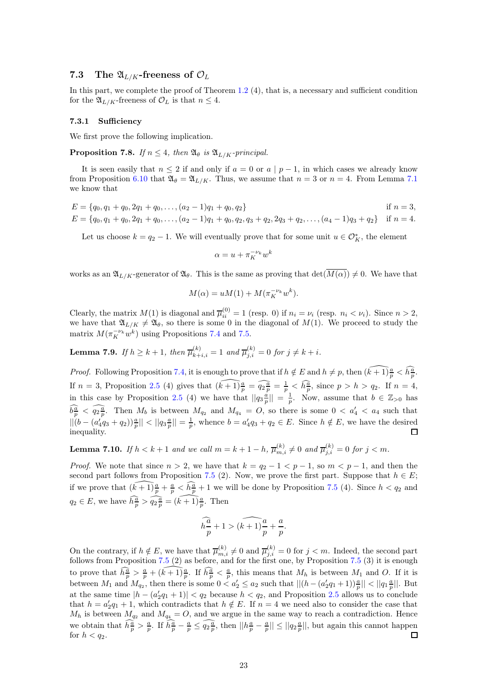## 7.3 The  $\mathfrak{A}_{L/K}$ -freeness of  $\mathcal{O}_L$

In this part, we complete the proof of Theorem  $1.2 \,(4)$  $1.2 \,(4)$ , that is, a necessary and sufficient condition for the  $\mathfrak{A}_{L/K}$ -freeness of  $\mathcal{O}_L$  is that  $n \leq 4$ .

#### 7.3.1 Sufficiency

We first prove the following implication.

**Proposition 7.8.** If  $n \leq 4$ , then  $\mathfrak{A}_{\theta}$  is  $\mathfrak{A}_{L/K}$ -principal.

It is seen easily that  $n \leq 2$  if and only if  $a = 0$  or  $a \mid p-1$ , in which cases we already know from Proposition [6.10](#page-17-1) that  $\mathfrak{A}_{\theta} = \mathfrak{A}_{L/K}$ . Thus, we assume that  $n = 3$  or  $n = 4$ . From Lemma [7.1](#page-18-0) we know that

$$
E = \{q_0, q_1 + q_0, 2q_1 + q_0, \dots, (a_2 - 1)q_1 + q_0, q_2\}
$$
 if  $n = 3$ ,  
\n
$$
E = \{q_0, q_1 + q_0, 2q_1 + q_0, \dots, (a_2 - 1)q_1 + q_0, q_2, q_3 + q_2, 2q_3 + q_2, \dots, (a_4 - 1)q_3 + q_2\}
$$
 if  $n = 4$ .

Let us choose  $k = q_2 - 1$ . We will eventually prove that for some unit  $u \in \mathcal{O}_K^*$ , the element

 $\alpha = u + \pi_K^{-\nu_k} w^k$ 

works as an  $\mathfrak{A}_{L/K}$ -generator of  $\mathfrak{A}_{\theta}$ . This is the same as proving that  $\det(\overline{M(\alpha)}) \neq 0$ . We have that

$$
M(\alpha) = uM(1) + M(\pi_K^{-\nu_k} w^k).
$$

Clearly, the matrix  $M(1)$  is diagonal and  $\overline{\mu}_{ii}^{(0)} = 1$  (resp. 0) if  $n_i = \nu_i$  (resp.  $n_i < \nu_i$ ). Since  $n > 2$ , we have that  $\mathfrak{A}_{L/K} \neq \mathfrak{A}_{\theta}$ , so there is some 0 in the diagonal of  $M(1)$ . We proceed to study the matrix  $M(\pi_K^{-\nu_k}w^k)$  using Propositions [7.4](#page-19-2) and [7.5.](#page-20-0)

**Lemma 7.9.** If 
$$
h \ge k + 1
$$
, then  $\overline{\mu}_{k+i,i}^{(k)} = 1$  and  $\overline{\mu}_{j,i}^{(k)} = 0$  for  $j \ne k + i$ .

*Proof.* Following Proposition [7.4,](#page-19-2) it is enough to prove that if  $h \notin E$  and  $h \neq p$ , then  $\widehat{(k+1)\frac{a}{p}} < \widehat{h\frac{a}{p}}$ . If  $n = 3$ , Proposition [2.5](#page-5-1) (4) gives that  $\widehat{(k+1)\frac{a}{p}} = \widehat{q_2\frac{a}{p}} = \frac{1}{p} < \widehat{h\frac{a}{p}}$ , since  $p > h > q_2$ . If  $n = 4$ , in this case by Proposition [2.5](#page-5-1) (4) we have that  $||q_3 \frac{a}{p}|| = \frac{1}{p}$ . Now, assume that  $b \in \mathbb{Z}_{>0}$  has  $\hat{b}_{\overline{p}}^{\overline{a}} < \hat{q}_2 \frac{\overline{a}}{\overline{p}}$ . Then  $M_b$  is between  $M_{q_2}$  and  $M_{q_4} = O$ , so there is some  $0 < a'_4 < a_4$  such that  $||(b - (a'_4q_3 + q_2))\frac{a}{p}|| < ||q_3\frac{a}{p}|| = \frac{1}{p}$ , whence  $b = a'_4q_3 + q_2 \in E$ . Since  $h \notin E$ , we have the desired inequality.

**Lemma 7.10.** If  $h < k+1$  and we call  $m = k+1-h$ ,  $\overline{\mu}_{m,i}^{(k)} \neq 0$  and  $\overline{\mu}_{j,i}^{(k)} = 0$  for  $j < m$ .

*Proof.* We note that since  $n > 2$ , we have that  $k = q_2 - 1 < p - 1$ , so  $m < p - 1$ , and then the second part follows from Proposition [7.5](#page-20-0) (2). Now, we prove the first part. Suppose that  $h \in E$ ; if we prove that  $(\widehat{k+1}) \frac{a}{p} + \frac{a}{p} < \widehat{h}^{\frac{a}{p}} + 1$  we will be done by Proposition [7.5](#page-20-0) (4). Since  $h < q_2$  and  $q_2 \in E$ , we have  $\widehat{h \frac{a}{p}} > \widehat{q_2 \frac{a}{p}} = \widehat{(k+1) \frac{a}{p}}$ . Then

$$
h\frac{\widehat{a}}{p} + 1 > \widehat{(k+1)}\frac{a}{p} + \frac{a}{p}.
$$

On the contrary, if  $h \notin E$ , we have that  $\overline{\mu}_{m,i}^{(k)} \neq 0$  and  $\overline{\mu}_{j,i}^{(k)} = 0$  for  $j < m$ . Indeed, the second part follows from Proposition [7.5](#page-20-0) (2) as before, and for the first one, by Proposition [7.5](#page-20-0) (3) it is enough to prove that  $\widehat{h_p^a} > \frac{a}{p} + \widehat{(k+1)\frac{a}{p}}$ . If  $\widehat{h_p^a} < \frac{a}{p}$ , this means that  $M_h$  is between  $M_1$  and O. If it is between  $M_1$  and  $M_{q_2}$ , then there is some  $0 < a'_2 \le a_2$  such that  $||(h - (a'_2q_1 + 1))\frac{a}{p}|| < ||q_1\frac{a}{p}||$ . But at the same time  $|h - (a_2'q_1 + 1)| < q_2$  because  $h < q_2$ , and Proposition [2.5](#page-5-1) allows us to conclude that  $h = a'_2q_1 + 1$ , which contradicts that  $h \notin E$ . If  $n = 4$  we need also to consider the case that  $M_h$  is between  $M_{q_2}$  and  $M_{q_4} = O$ , and we argue in the same way to reach a contradiction. Hence we obtain that  $\hat{h}^{\frac{\alpha}{p}} > \frac{a}{p}$ . If  $\hat{h}^{\frac{\alpha}{p}} - \frac{a}{p} \leq \widehat{q_2 \frac{a}{p}}$ , then  $||h^{\frac{\alpha}{p}} - \frac{a}{p}|| \leq ||q_2 \frac{a}{p}||$ , but again this cannot happen for  $h < q_2$ .  $\Box$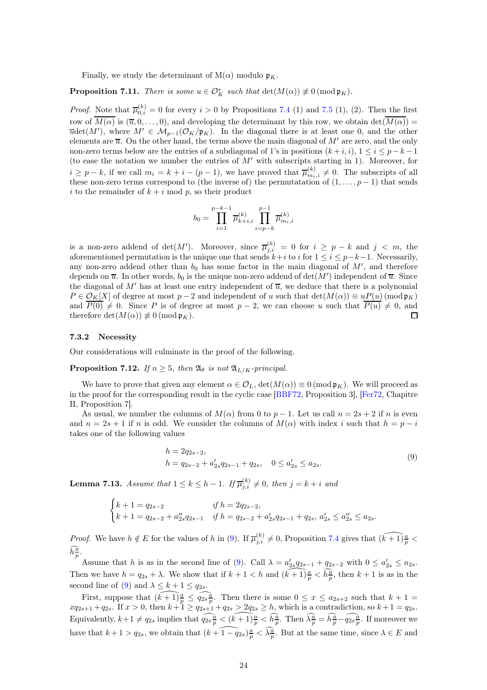Finally, we study the determinant of  $M(\alpha)$  modulo  $\mathfrak{p}_K$ .

**Proposition 7.11.** There is some  $u \in \mathcal{O}_K^*$  such that  $\det(M(\alpha)) \not\equiv 0 \pmod{\mathfrak{p}_K}$ .

*Proof.* Note that  $\overline{\mu}_{0,i}^{(k)} = 0$  for every  $i > 0$  by Propositions [7.4](#page-19-2) (1) and [7.5](#page-20-0) (1), (2). Then the first row of  $\overline{M(\alpha)}$  is  $(\overline{u}, 0, \ldots, 0)$ , and developing the determinant by this row, we obtain det $(\overline{M(\alpha)})$  $\overline{u}det(M')$ , where  $M' \in \mathcal{M}_{p-1}(\mathcal{O}_K/\mathfrak{p}_K)$ . In the diagonal there is at least one 0, and the other elements are  $\overline{u}$ . On the other hand, the terms above the main diagonal of M' are zero, and the only non-zero terms below are the entries of a subdiagonal of 1's in positions  $(k+i, i)$ ,  $1 \le i \le p-k-1$ (to ease the notation we number the entries of M′ with subscripts starting in 1). Moreover, for  $i \geq p-k$ , if we call  $m_i = k+i-(p-1)$ , we have proved that  $\overline{\mu}_{m_i,i}^{(k)} \neq 0$ . The subscripts of all these non-zero terms correspond to (the inverse of) the permutatation of  $(1,\ldots,p-1)$  that sends i to the remainder of  $k + i$  mod p, so their product

$$
b_0 = \prod_{i=1}^{p-k-1} \overline{\mu}_{k+i,i}^{(k)} \prod_{i=p-k}^{p-1} \overline{\mu}_{m_i,i}^{(k)}
$$

is a non-zero addend of  $\det(M')$ . Moreover, since  $\overline{\mu}_{j,i}^{(k)} = 0$  for  $i \geq p-k$  and  $j < m$ , the aforementioned permutation is the unique one that sends  $k+i$  to i for  $1 \le i \le p-k-1$ . Necessarily, any non-zero addend other than  $b_0$  has some factor in the main diagonal of  $M'$ , and therefore depends on  $\overline{u}$ . In other words,  $b_0$  is the unique non-zero addend of  $\det(M')$  independent of  $\overline{u}$ . Since the diagonal of M' has at least one entry independent of  $\overline{u}$ , we deduce that there is a polynomial  $P \in \mathcal{O}_K[X]$  of degree at most  $p-2$  and independent of u such that  $\det(M(\alpha)) \equiv u P(u) \pmod{\mathfrak{p}_K}$ and  $\overline{P(0)} \neq 0$ . Since P is of degree at most  $p-2$ , we can choose u such that  $\overline{P(u)} \neq 0$ , and therefore  $\det(M(\alpha)) \not\equiv 0 \pmod{\mathfrak{p}_K}$ . □

#### 7.3.2 Necessity

Our considerations will culminate in the proof of the following.

**Proposition 7.12.** If  $n \geq 5$ , then  $\mathfrak{A}_{\theta}$  is not  $\mathfrak{A}_{L/K}$ -principal.

We have to prove that given any element  $\alpha \in \mathcal{O}_L$ ,  $\det(M(\alpha)) \equiv 0 \pmod{\mathfrak{p}_K}$ . We will proceed as in the proof for the corresponding result in the cyclic case [BBF72, Proposition 3], [Fer72, Chapitre II, Proposition 7].

As usual, we number the columns of  $M(\alpha)$  from 0 to  $p-1$ . Let us call  $n = 2s + 2$  if n is even and  $n = 2s + 1$  if n is odd. We consider the columns of  $M(\alpha)$  with index i such that  $h = p - i$ takes one of the following values

$$
h = 2q_{2s-2},
$$
  
\n
$$
h = q_{2s-2} + a'_{2s}q_{2s-1} + q_{2s}, \quad 0 \le a'_{2s} \le a_{2s}.
$$
\n(9)

<span id="page-23-1"></span><span id="page-23-0"></span>**Lemma 7.13.** Assume that  $1 \leq k \leq h-1$ . If  $\overline{\mu}_{j,i}^{(k)} \neq 0$ , then  $j = k + i$  and

$$
\begin{cases} k+1=q_{2s-2} & \text{if } h=2q_{2s-2},\\ k+1=q_{2s-2}+a_{2s}''q_{2s-1} & \text{if } h=q_{2s-2}+a_{2s}'q_{2s-1}+q_{2s}, \, a_{2s}'\leq a_{2s}' \leq a_{2s}. \end{cases}
$$

*Proof.* We have  $h \notin E$  for the values of h in [\(9\)](#page-23-0). If  $\overline{\mu}_{j,i}^{(k)} \neq 0$ , Proposition [7.4](#page-19-2) gives that  $\widehat{(k+1)\frac{a}{p}}$  $\widehat{h}\frac{\widehat{a}}{p}.$ 

Assume that h is as in the second line of [\(9\)](#page-23-0). Call  $\lambda = a'_{2s}q_{2s-1} + q_{2s-2}$  with  $0 \le a'_{2s} \le a_{2s}$ . Then we have  $h = q_{2s} + \lambda$ . We show that if  $k + 1 < h$  and  $\widehat{(k+1)\frac{a}{p}} < \widehat{h_p^a}$ , then  $k + 1$  is as in the second line of [\(9\)](#page-23-0) and  $\lambda \leq k+1 \leq q_{2s}$ .

First, suppose that  $(\widehat{k+1})\frac{a}{p} \leq \widehat{q_{2s}}\frac{a}{p}$ . Then there is some  $0 \leq x \leq a_{2s+2}$  such that  $k+1 =$  $xq_{2s+1} + q_{2s}$ . If  $x > 0$ , then  $k+1 \ge q_{2s+1} + q_{2s} > 2q_{2s} \ge h$ , which is a contradiction, so  $k+1 = q_{2s}$ . Equivalently,  $k+1 \neq q_{2s}$  implies that  $\widehat{q_{2s\frac{a}{p}}} < (\widehat{k+1})\frac{a}{p} < \widehat{h\frac{a}{p}}$ . Then  $\widehat{\lambda\frac{a}{p}} = \widehat{h\frac{a}{p}} - \widehat{q_{2s}\frac{a}{p}}$ . If moreover we have that  $k + 1 > q_{2s}$ , we obtain that  $(k + 1 - q_{2s})\frac{a}{p} < \widehat{\lambda}\frac{a}{p}$ . But at the same time, since  $\lambda \in E$  and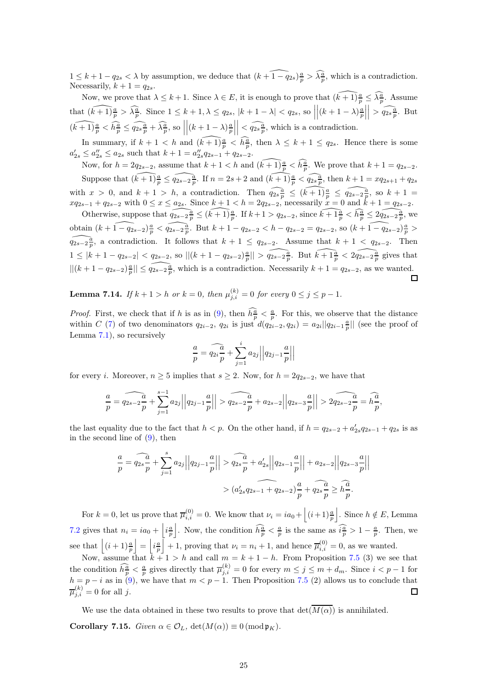$1 \leq k+1-q_{2s} < \lambda$  by assumption, we deduce that  $(k+\widehat{1-q}_{2s})\frac{a}{p} > \widehat{\lambda\frac{a}{p}}$ , which is a contradiction. Necessarily,  $k + 1 = q_{2s}$ .

Now, we prove that  $\lambda \leq k+1$ . Since  $\lambda \in E$ , it is enough to prove that  $\widehat{(k+1)\frac{a}{p}} \leq \widehat{\lambda\frac{a}{p}}$ . Assume that  $(\widehat{k+1}) \frac{a}{p} > \widehat{\lambda \frac{a}{p}}$ . Since  $1 \leq k+1, \lambda \leq q_{2s}, |k+1-\lambda| < q_{2s}$ , so  $\left| (k+1-\lambda )\frac{a}{p}\right|$   $\Big| > \widehat{q_{2s}\frac{a}{p}}$ . But  $\widehat{(k+1)\frac{a}{p}} < \widehat{h\frac{a}{p}} \leq \widehat{q_{2s}\frac{a}{p}} + \widehat{\lambda\frac{a}{p}},$  so  $(k+1-\lambda)\frac{a}{p}$   $\Big| < \widehat{q_{2s}}^{\underline{a}}_{\overline{p}}$ , which is a contradiction.

In summary, if  $k+1 < h$  and  $(\widehat{k+1})\frac{a}{p} < \widehat{h\frac{a}{p}}$ , then  $\lambda \leq k+1 \leq q_{2s}$ . Hence there is some  $a'_{2s} \le a''_{2s} \le a_{2s}$  such that  $k+1 = a''_{2s}q_{2s-1} + q_{2s-2}$ .

Now, for  $h = 2q_{2s-2}$ , assume that  $k + 1 < h$  and  $\widehat{(k+1)\frac{a}{p}} < \widehat{h\frac{a}{p}}$ . We prove that  $k + 1 = q_{2s-2}$ . Suppose that  $(\widehat{k+1})\frac{a}{p} \leq \widehat{q_{2s-2}\frac{a}{p}}$ . If  $n = 2s + 2$  and  $(\widehat{k+1})\frac{a}{p} < \widehat{q_{2s}\frac{a}{p}}$ , then  $k+1 = xq_{2s+1} + q_{2s}$ with  $x > 0$ , and  $k + 1 > h$ , a contradiction. Then  $\widehat{q_{2s\frac{a}{p}}} \leq (\widehat{k+1})\frac{a}{p} \leq \widehat{q_{2s-2\frac{a}{p}}}$ , so  $k + 1 =$  $xq_{2s-1} + q_{2s-2}$  with  $0 \le x \le a_{2s}$ . Since  $k+1 < h = 2q_{2s-2}$ , necessarily  $x = 0$  and  $k+1 = q_{2s-2}$ .

Otherwise, suppose that  $\widehat{q_{2s-2\frac{a}{p}}} \leq \widehat{(k+1)\frac{a}{p}}$ . If  $k+1 > q_{2s-2}$ , since  $\widehat{k+1\frac{a}{p}} < \widehat{h_p^a} \leq 2\widehat{q_{2s-2\frac{a}{p}}}$ , we obtain  $(k + 1 - q_{2s-2})\frac{a}{p} < \widehat{q_{2s-2}\frac{a}{p}}$ . But  $k + 1 - q_{2s-2} < h - q_{2s-2} = q_{2s-2}$ , so  $(k + 1 - q_{2s-2})\frac{a}{p} >$  $\widehat{q_{2s-2\frac{a}{p}}}$ , a contradiction. It follows that  $k + 1 \leq q_{2s-2}$ . Assume that  $k + 1 < q_{2s-2}$ . Then  $1 \leq |k+1-q_{2s-2}| < q_{2s-2}$ , so  $||(k+1-q_{2s-2})\frac{a}{p}|| > \widehat{q_{2s-2}\frac{a}{p}}$ . But  $k+\widehat{1\frac{a}{p}} < 2\widehat{q_{2s-2}\frac{a}{p}}$  gives that  $||(k+1-q_{2s-2})\frac{a}{p}|| \leq \widehat{q_{2s-2\frac{a}{p}}},$  which is a contradiction. Necessarily  $k+1 = q_{2s-2}$ , as we wanted.  $\Box$ 

**Lemma 7.14.** If  $k + 1 > h$  or  $k = 0$ , then  $\mu_{j,i}^{(k)} = 0$  for every  $0 \le j \le p - 1$ .

*Proof.* First, we check that if h is as in [\(9\)](#page-23-0), then  $\hat{h}^{\frac{\alpha}{p}} < \frac{a}{p}$ . For this, we observe that the distance within C [\(7\)](#page-18-1) of two denominators  $q_{2i-2}$ ,  $q_{2i}$  is just  $d(q_{2i-2}, q_{2i}) = a_{2i} || q_{2i-1} \frac{a}{p} ||$  (see the proof of Lemma [7.1\)](#page-18-0), so recursively

$$
\frac{a}{p} = \widehat{q_{2i}}\frac{a}{p} + \sum_{j=1}^{i} a_{2j} \left| \left| q_{2j-1} \frac{a}{p} \right| \right|
$$

for every *i*. Moreover,  $n \geq 5$  implies that  $s \geq 2$ . Now, for  $h = 2q_{2s-2}$ , we have that

$$
\frac{a}{p} = \widehat{q_{2s-2}}\frac{a}{p} + \sum_{j=1}^{s-1} a_{2j} \left| \left| q_{2j-1} \frac{a}{p} \right| \right| > \widehat{q_{2s-2}}\frac{a}{p} + a_{2s-2} \left| \left| q_{2s-3} \frac{a}{p} \right| \right| > 2\widehat{q_{2s-2}}\frac{a}{p} = \widehat{h\frac{a}{p}},
$$

the last equality due to the fact that  $h < p$ . On the other hand, if  $h = q_{2s-2} + a'_{2s}q_{2s-1} + q_{2s}$  is as in the second line of  $(9)$ , then

$$
\frac{a}{p} = \widehat{q_{2s}} \frac{a}{p} + \sum_{j=1}^{s} a_{2j} ||q_{2j-1} \frac{a}{p}|| > \widehat{q_{2s}} \frac{a}{p} + a'_{2s} ||q_{2s-1} \frac{a}{p}|| + a_{2s-2} ||q_{2s-3} \frac{a}{p}||
$$
  
>  $(a'_{2s} q_{2s-1} + a_{2s-2}) \frac{a}{p} + a'_{2s} \frac{a}{p} \ge \widehat{h} \frac{a}{p}.$ 

For  $k = 0$ , let us prove that  $\overline{\mu}_{i,i}^{(0)} = 0$ . We know that  $\nu_i = ia_0 + \left| (i+1)\frac{a}{p} \right|$ |. Since  $h \notin E$ , Lemma [7.2](#page-19-0) gives that  $n_i = ia_0 + \left| i \frac{a}{p} \right|$ . Now, the condition  $\widehat{h_p^a} < \frac{a}{p}$  is the same as  $\widehat{i_p^a} > 1 - \frac{a}{p}$ . Then, we see that  $(i + 1)\frac{a}{p}$  $\Big| = \Big| i \frac{a}{p}$  $\bar{+1}$ , proving that  $\nu_i = n_i + 1$ , and hence  $\bar{\mu}_{i,i}^{(0)} = 0$ , as we wanted.

Now, assume that  $k + 1 > h$  and call  $m = k + 1 - h$ . From Proposition [7.5](#page-20-0) (3) we see that the condition  $\widehat{h_p^a} < \frac{a}{p}$  gives directly that  $\overline{\mu}_{j,i}^{(k)} = 0$  for every  $m \le j \le m + d_m$ . Since  $i < p - 1$  for  $h = p - i$  as in [\(9\)](#page-23-0), we have that  $m < p - 1$ . Then Proposition [7.5](#page-20-0) (2) allows us to conclude that  $\overline{\mu}_{j,i}^{(k)}=0$  for all j.  $\Box$ 

We use the data obtained in these two results to prove that  $\det(\overline{M(\alpha)})$  is annihilated. **Corollary 7.15.** Given  $\alpha \in \mathcal{O}_L$ ,  $\det(M(\alpha)) \equiv 0 \pmod{\mathfrak{p}_K}$ .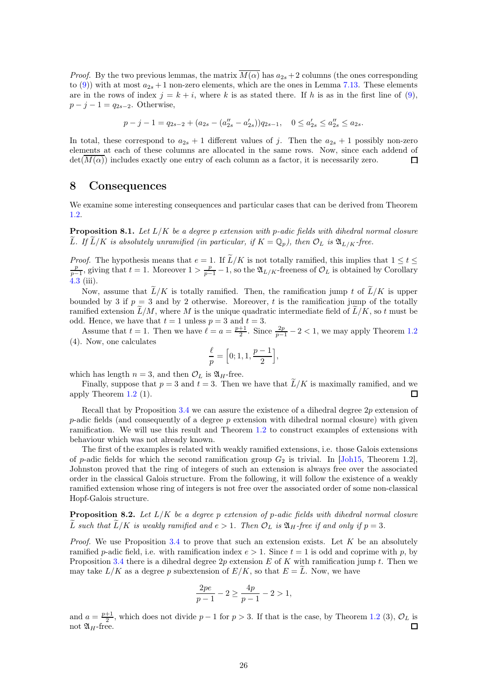*Proof.* By the two previous lemmas, the matrix  $\overline{M(\alpha)}$  has  $a_{2s}+2$  columns (the ones corresponding to [\(9\)](#page-23-0)) with at most  $a_{2s} + 1$  non-zero elements, which are the ones in Lemma [7.13.](#page-23-1) These elements are in the rows of index  $j = k + i$ , where k is as stated there. If h is as in the first line of [\(9\)](#page-23-0),  $p - j - 1 = q_{2s-2}$ . Otherwise,

$$
p - j - 1 = q_{2s-2} + (a_{2s} - (a_{2s}'' - a_{2s}'))q_{2s-1}, \quad 0 \le a_{2s}' \le a_{2s}'' \le a_{2s}.
$$

In total, these correspond to  $a_{2s} + 1$  different values of j. Then the  $a_{2s} + 1$  possibly non-zero elements at each of these columns are allocated in the same rows. Now, since each addend of  $\det(M(\alpha))$  includes exactly one entry of each column as a factor, it is necessarily zero. □

### <span id="page-25-0"></span>8 Consequences

We examine some interesting consequences and particular cases that can be derived from Theorem [1.2.](#page-1-0)

**Proposition 8.1.** Let  $L/K$  be a degree p extension with p-adic fields with dihedral normal closure L. If  $\tilde{L}/K$  is absolutely unramified (in particular, if  $K = \mathbb{Q}_p$ ), then  $\mathcal{O}_L$  is  $\mathfrak{A}_{L/K}$ -free.

*Proof.* The hypothesis means that  $e = 1$ . If  $\widetilde{L}/K$  is not totally ramified, this implies that  $1 \le t \le$  $\frac{p}{p-1}$ , giving that  $t=1$ . Moreover  $1>\frac{p}{p-1}-1$ , so the  $\mathfrak{A}_{L/K}$ -freeness of  $\mathcal{O}_L$  is obtained by Corollary [4.3](#page-10-3) (iii).

Now, assume that  $\widetilde{L}/K$  is totally ramified. Then, the ramification jump t of  $\widetilde{L}/K$  is upper bounded by 3 if  $p = 3$  and by 2 otherwise. Moreover, t is the ramification jump of the totally ramified extension  $\tilde{L}/M$ , where M is the unique quadratic intermediate field of  $\tilde{L}/K$ , so t must be odd. Hence, we have that  $t = 1$  unless  $p = 3$  and  $t = 3$ .

Assume that  $t = 1$ . Then we have  $\ell = a = \frac{p+1}{2}$ . Since  $\frac{2p}{p-1} - 2 < 1$ , we may apply Theorem [1.2](#page-1-0) (4). Now, one calculates

$$
\frac{\ell}{p} = \left[0; 1, 1, \frac{p-1}{2}\right],
$$

which has length  $n = 3$ , and then  $\mathcal{O}_L$  is  $\mathfrak{A}_H$ -free.

Finally, suppose that  $p = 3$  and  $t = 3$ . Then we have that  $\widetilde{L}/K$  is maximally ramified, and we obv Theorem 1.2 (1). apply Theorem [1.2](#page-1-0) (1).

Recall that by Proposition [3.4](#page-9-1) we can assure the existence of a dihedral degree  $2p$  extension of  $p$ -adic fields (and consequently of a degree p extension with dihedral normal closure) with given ramification. We will use this result and Theorem [1.2](#page-1-0) to construct examples of extensions with behaviour which was not already known.

The first of the examples is related with weakly ramified extensions, i.e. those Galois extensions of p-adic fields for which the second ramification group  $G_2$  is trivial. In [Joh15, Theorem 1.2], Johnston proved that the ring of integers of such an extension is always free over the associated order in the classical Galois structure. From the following, it will follow the existence of a weakly ramified extension whose ring of integers is not free over the associated order of some non-classical Hopf-Galois structure.

<span id="page-25-1"></span>**Proposition 8.2.** Let  $L/K$  be a degree p extension of p-adic fields with dihedral normal closure  $\tilde{L}$  such that  $\tilde{L}/K$  is weakly ramified and  $e > 1$ . Then  $\mathcal{O}_L$  is  $\mathfrak{A}_H$ -free if and only if  $p = 3$ .

*Proof.* We use Proposition [3.4](#page-9-1) to prove that such an extension exists. Let  $K$  be an absolutely ramified p-adic field, i.e. with ramification index  $e > 1$ . Since  $t = 1$  is odd and coprime with p, by Proposition [3.4](#page-9-1) there is a dihedral degree  $2p$  extension E of K with ramification jump t. Then we may take  $L/K$  as a degree p subextension of  $E/K$ , so that  $E = \tilde{L}$ . Now, we have

$$
\frac{2pe}{p-1} - 2 \ge \frac{4p}{p-1} - 2 > 1,
$$

and  $a = \frac{p+1}{2}$ , which does not divide  $p-1$  for  $p > 3$ . If that is the case, by Theorem [1.2](#page-1-0) (3),  $\mathcal{O}_L$  is not  $\mathfrak{A}_H$ -free. П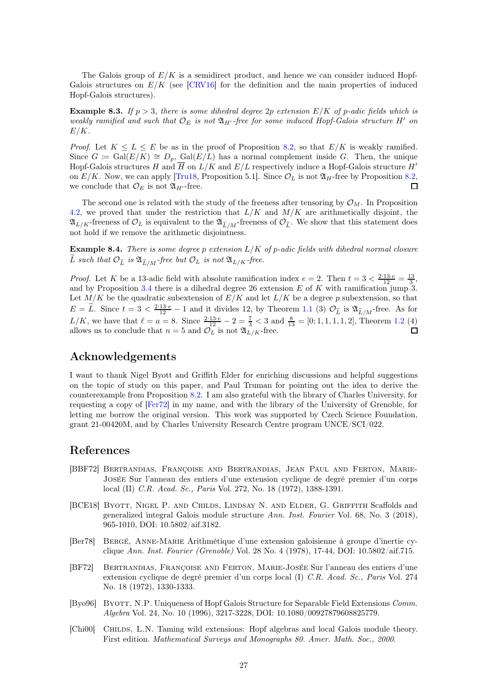The Galois group of  $E/K$  is a semidirect product, and hence we can consider induced Hopf-Galois structures on  $E/K$  (see [CRV16] for the definition and the main properties of induced Hopf-Galois structures).

**Example 8.3.** If  $p > 3$ , there is some dihedral degree 2p extension  $E/K$  of p-adic fields which is weakly ramified and such that  $\mathcal{O}_E$  is not  $\mathfrak{A}_{H'}$ -free for some induced Hopf-Galois structure H' on  $E/K$ .

*Proof.* Let  $K \leq L \leq E$  be as in the proof of Proposition [8.2,](#page-25-1) so that  $E/K$  is weakly ramified. Since  $G := \text{Gal}(E/K) \cong D_p$ , Gal $(E/L)$  has a normal complement inside G. Then, the unique Hopf-Galois structures H and  $\overline{H}$  on  $L/K$  and  $E/L$  respectively induce a Hopf-Galois structure H' on  $E/K$ . Now, we can apply [Tru18, Proposition 5.1]. Since  $\mathcal{O}_L$  is not  $\mathfrak{A}_H$ -free by Proposition [8.2,](#page-25-1) we conclude that  $\mathcal{O}_E$  is not  $\mathfrak{A}_{H'}$ -free.  $\Box$ 

The second one is related with the study of the freeness after tensoring by  $\mathcal{O}_M$ . In Proposition [4.2,](#page-10-4) we proved that under the restriction that  $L/K$  and  $M/K$  are arithmetically disjoint, the  $\mathfrak{A}_{L/K}$ -freeness of  $\mathcal{O}_L$  is equivalent to the  $\mathfrak{A}_{\widetilde{L}/M}$ -freeness of  $\mathcal{O}_{\widetilde{L}}$ . We show that this statement does not hold if we remove the arithmetic disjointness.

**Example 8.4.** There is some degree p extension  $L/K$  of p-adic fields with dihedral normal closure L such that  $\mathcal{O}_{\widetilde{L}}$  is  $\mathfrak{A}_{\widetilde{L}/M}$ -free but  $\mathcal{O}_L$  is not  $\mathfrak{A}_{L/K}$ -free.

*Proof.* Let K be a 13-adic field with absolute ramification index  $e = 2$ . Then  $t = 3 < \frac{2 \cdot 13 \cdot e}{12} = \frac{13}{3}$ , and by Proposition [3.4](#page-9-1) there is a dihedral degree 26 extension  $E$  of  $K$  with ramification jump 3. Let  $M/K$  be the quadratic subextension of  $E/K$  and let  $L/K$  be a degree p subextension, so that  $E = \tilde{L}$ . Since  $t = 3 < \frac{2 \cdot 13 \cdot e}{12} - 1$  and it divides 12, by Theorem [1.1](#page-0-0) (3)  $\mathcal{O}_{\tilde{L}}$  is  $\mathfrak{A}_{\tilde{L}/M}$ -free. As for  $L/K$ , we have that  $\ell = a = 8$ . Since  $\frac{2 \cdot 13 \cdot e}{12} - 2 = \frac{7}{3} < 3$  and  $\frac{8}{13} = [0; 1, 1, 1, 1, 2]$ , Theorem [1.2](#page-1-0) (4) allows us to conclude that  $n = 5$  and  $\mathcal{O}_L$  is not  $\mathfrak{A}_{L/K}$ -free.

## Acknowledgements

I want to thank Nigel Byott and Griffith Elder for enriching discussions and helpful suggestions on the topic of study on this paper, and Paul Truman for pointing out the idea to derive the counterexample from Proposition [8.2.](#page-25-1) I am also grateful with the library of Charles University, for requesting a copy of [Fer72] in my name, and with the library of the University of Grenoble, for letting me borrow the original version. This work was supported by Czech Science Foundation, grant 21-00420M, and by Charles University Research Centre program UNCE/SCI/022.

## References

- [BBF72] Bertrandias, Françoise and Bertrandias, Jean Paul and Ferton, Marie-Josée Sur l'anneau des entiers d'une extension cyclique de degré premier d'un corps local (II) C.R. Acad. Sc., Paris Vol. 272, No. 18 (1972), 1388-1391.
- [BCE18] Byott, Nigel P. and Childs, Lindsay N. and Elder, G. Griffith Scaffolds and generalized integral Galois module structure Ann. Inst. Fourier Vol. 68, No. 3 (2018), 965-1010, DOI: 10.5802/aif.3182.
- [Ber78] Bergé, Anne-Marie Arithmétique d'une extension galoisienne à groupe d'inertie cyclique Ann. Inst. Fourier (Grenoble) Vol. 28 No. 4 (1978), 17-44, DOI: 10.5802/aif.715.
- [BF72] Bertrandias, Françoise and Ferton, Marie-Josée Sur l'anneau des entiers d'une extension cyclique de degré premier d'un corps local (I) C.R. Acad. Sc., Paris Vol. 274 No. 18 (1972), 1330-1333.
- [Byo96] BYOTT, N.P. Uniqueness of Hopf Galois Structure for Separable Field Extensions Comm. Algebra Vol. 24, No. 10 (1996), 3217-3228, DOI: 10.1080/00927879608825779.
- [Chi00] Childs, L.N. Taming wild extensions: Hopf algebras and local Galois module theory. First edition. Mathematical Surveys and Monographs 80. Amer. Math. Soc., 2000.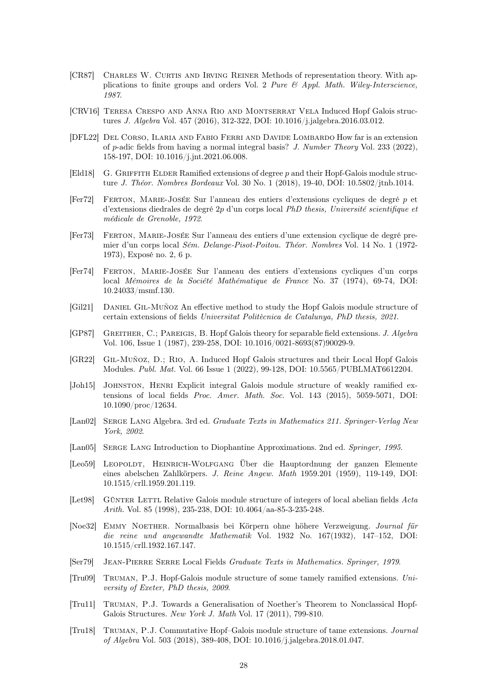- [CR87] Charles W. Curtis and Irving Reiner Methods of representation theory. With applications to finite groups and orders Vol. 2 Pure  $\mathcal{B}$  Appl. Math. Wiley-Interscience, 1987.
- [CRV16] Teresa Crespo and Anna Rio and Montserrat Vela Induced Hopf Galois structures J. Algebra Vol. 457 (2016), 312-322, DOI: 10.1016/j.jalgebra.2016.03.012.
- [DFL22] Del Corso, Ilaria and Fabio Ferri and Davide Lombardo How far is an extension of p-adic fields from having a normal integral basis? J. Number Theory Vol. 233 (2022), 158-197, DOI: 10.1016/j.jnt.2021.06.008.
- [Eld18] G. GRIFFITH ELDER Ramified extensions of degree  $p$  and their Hopf-Galois module structure J. Théor. Nombres Bordeaux Vol. 30 No. 1 (2018), 19-40, DOI: 10.5802/jtnb.1014.
- [Fer72] Ferton, Marie-Josée Sur l'anneau des entiers d'extensions cycliques de degré p et d'extensions diedrales de degré 2p d'un corps local PhD thesis, Université scientifique et médicale de Grenoble, 1972.
- [Fer73] Ferton, Marie-Josée Sur l'anneau des entiers d'une extension cyclique de degré premier d'un corps local Sém. Delange-Pisot-Poitou. Théor. Nombres Vol. 14 No. 1 (1972- 1973), Exposé no. 2, 6 p.
- [Fer74] Ferton, Marie-Josée Sur l'anneau des entiers d'extensions cycliques d'un corps local Mémoires de la Société Mathématique de France No. 37 (1974), 69-74, DOI: 10.24033/msmf.130.
- [Gil21] Daniel Gil-Muñoz An effective method to study the Hopf Galois module structure of certain extensions of fields Universitat Politècnica de Catalunya, PhD thesis, 2021.
- [GP87] GREITHER, C.; PAREIGIS, B. Hopf Galois theory for separable field extensions. J. Algebra Vol. 106, Issue 1 (1987), 239-258, DOI: 10.1016/0021-8693(87)90029-9.
- [GR22] Gil-Muñoz, D.; Rio, A. Induced Hopf Galois structures and their Local Hopf Galois Modules. Publ. Mat. Vol. 66 Issue 1 (2022), 99-128, DOI: 10.5565/PUBLMAT6612204.
- [Joh15] Johnston, Henri Explicit integral Galois module structure of weakly ramified extensions of local fields Proc. Amer. Math. Soc. Vol. 143 (2015), 5059-5071, DOI: 10.1090/proc/12634.
- [Lan02] SERGE LANG Algebra. 3rd ed. *Graduate Texts in Mathematics 211. Springer-Verlag New* York, 2002.
- [Lan05] SERGE LANG Introduction to Diophantine Approximations. 2nd ed. Springer, 1995.
- [Leo59] LEOPOLDT, HEINRICH-WOLFGANG Über die Hauptordnung der ganzen Elemente eines abelschen Zahlkörpers. J. Reine Angew. Math 1959.201 (1959), 119-149, DOI: 10.1515/crll.1959.201.119.
- [Let98] GÜNTER LETTL Relative Galois module structure of integers of local abelian fields Acta Arith. Vol. 85 (1998), 235-238, DOI: 10.4064/aa-85-3-235-248.
- [Noe32] Emmy Noether. Normalbasis bei Körpern ohne höhere Verzweigung. Journal für die reine und angewandte Mathematik Vol. 1932 No. 167(1932), 147–152, DOI: 10.1515/crll.1932.167.147.
- [Ser79] Jean-Pierre Serre Local Fields Graduate Texts in Mathematics. Springer, 1979.
- [Tru09] Truman, P.J. Hopf-Galois module structure of some tamely ramified extensions. University of Exeter, PhD thesis, 2009.
- [Tru11] Truman, P.J. Towards a Generalisation of Noether's Theorem to Nonclassical Hopf-Galois Structures. New York J. Math Vol. 17 (2011), 799-810.
- [Tru18] Truman, P.J. Commutative Hopf–Galois module structure of tame extensions. Journal of Algebra Vol. 503 (2018), 389-408, DOI: 10.1016/j.jalgebra.2018.01.047.